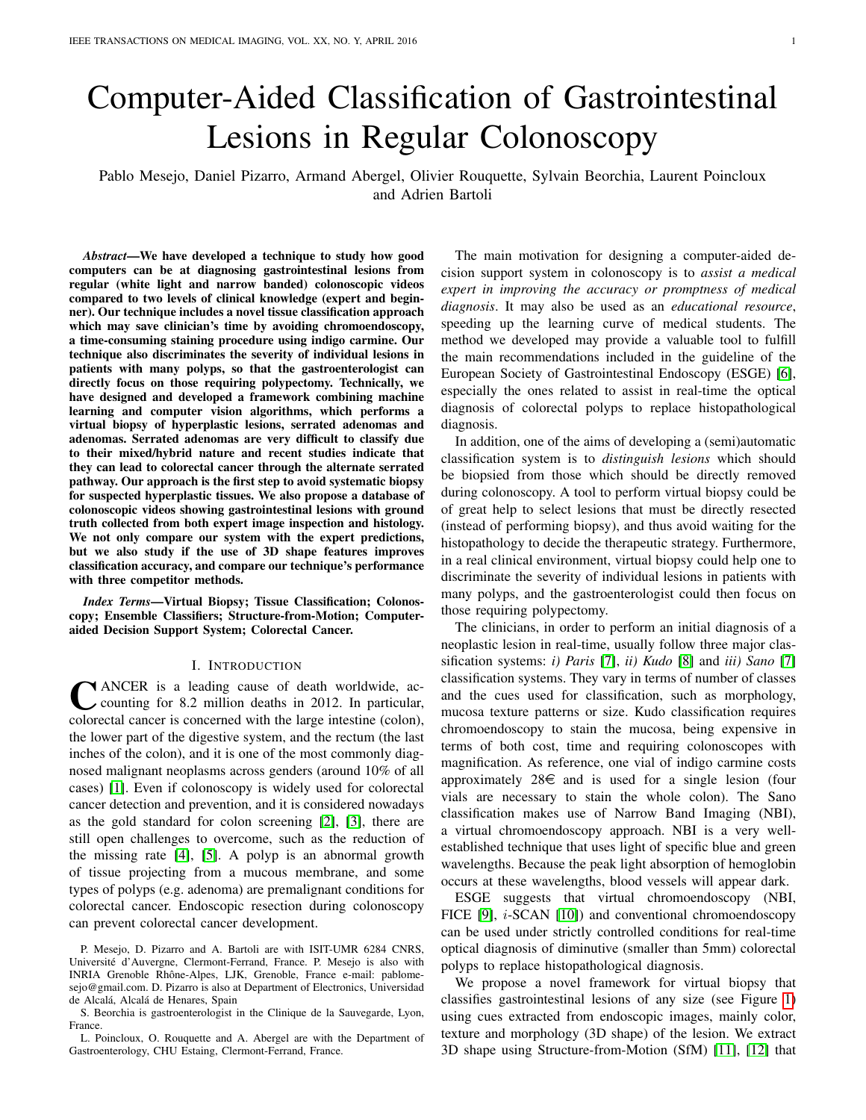# Computer-Aided Classification of Gastrointestinal Lesions in Regular Colonoscopy

Pablo Mesejo, Daniel Pizarro, Armand Abergel, Olivier Rouquette, Sylvain Beorchia, Laurent Poincloux and Adrien Bartoli

*Abstract*—We have developed a technique to study how good computers can be at diagnosing gastrointestinal lesions from regular (white light and narrow banded) colonoscopic videos compared to two levels of clinical knowledge (expert and beginner). Our technique includes a novel tissue classification approach which may save clinician's time by avoiding chromoendoscopy, a time-consuming staining procedure using indigo carmine. Our technique also discriminates the severity of individual lesions in patients with many polyps, so that the gastroenterologist can directly focus on those requiring polypectomy. Technically, we have designed and developed a framework combining machine learning and computer vision algorithms, which performs a virtual biopsy of hyperplastic lesions, serrated adenomas and adenomas. Serrated adenomas are very difficult to classify due to their mixed/hybrid nature and recent studies indicate that they can lead to colorectal cancer through the alternate serrated pathway. Our approach is the first step to avoid systematic biopsy for suspected hyperplastic tissues. We also propose a database of colonoscopic videos showing gastrointestinal lesions with ground truth collected from both expert image inspection and histology. We not only compare our system with the expert predictions, but we also study if the use of 3D shape features improves classification accuracy, and compare our technique's performance with three competitor methods.

*Index Terms*—Virtual Biopsy; Tissue Classification; Colonoscopy; Ensemble Classifiers; Structure-from-Motion; Computeraided Decision Support System; Colorectal Cancer.

#### I. INTRODUCTION

CANCER is a leading cause of death worldwide, accounting for 8.2 million deaths in 2012. In particular, ANCER is a leading cause of death worldwide, accolorectal cancer is concerned with the large intestine (colon), the lower part of the digestive system, and the rectum (the last inches of the colon), and it is one of the most commonly diagnosed malignant neoplasms across genders (around 10% of all cases) [\[1\]](#page-10-0). Even if colonoscopy is widely used for colorectal cancer detection and prevention, and it is considered nowadays as the gold standard for colon screening [\[2\]](#page-10-1), [\[3\]](#page-10-2), there are still open challenges to overcome, such as the reduction of the missing rate [\[4\]](#page-10-3), [\[5\]](#page-10-4). A polyp is an abnormal growth of tissue projecting from a mucous membrane, and some types of polyps (e.g. adenoma) are premalignant conditions for colorectal cancer. Endoscopic resection during colonoscopy can prevent colorectal cancer development.

S. Beorchia is gastroenterologist in the Clinique de la Sauvegarde, Lyon, France.

L. Poincloux, O. Rouquette and A. Abergel are with the Department of Gastroenterology, CHU Estaing, Clermont-Ferrand, France.

The main motivation for designing a computer-aided decision support system in colonoscopy is to *assist a medical expert in improving the accuracy or promptness of medical diagnosis*. It may also be used as an *educational resource*, speeding up the learning curve of medical students. The method we developed may provide a valuable tool to fulfill the main recommendations included in the guideline of the European Society of Gastrointestinal Endoscopy (ESGE) [\[6\]](#page-10-5), especially the ones related to assist in real-time the optical diagnosis of colorectal polyps to replace histopathological diagnosis.

In addition, one of the aims of developing a (semi)automatic classification system is to *distinguish lesions* which should be biopsied from those which should be directly removed during colonoscopy. A tool to perform virtual biopsy could be of great help to select lesions that must be directly resected (instead of performing biopsy), and thus avoid waiting for the histopathology to decide the therapeutic strategy. Furthermore, in a real clinical environment, virtual biopsy could help one to discriminate the severity of individual lesions in patients with many polyps, and the gastroenterologist could then focus on those requiring polypectomy.

The clinicians, in order to perform an initial diagnosis of a neoplastic lesion in real-time, usually follow three major classification systems: *i) Paris* [\[7\]](#page-10-6), *ii) Kudo* [\[8\]](#page-10-7) and *iii) Sano* [\[7\]](#page-10-6) classification systems. They vary in terms of number of classes and the cues used for classification, such as morphology, mucosa texture patterns or size. Kudo classification requires chromoendoscopy to stain the mucosa, being expensive in terms of both cost, time and requiring colonoscopes with magnification. As reference, one vial of indigo carmine costs approximately  $28 \in \mathbb{R}$  and is used for a single lesion (four vials are necessary to stain the whole colon). The Sano classification makes use of Narrow Band Imaging (NBI), a virtual chromoendoscopy approach. NBI is a very wellestablished technique that uses light of specific blue and green wavelengths. Because the peak light absorption of hemoglobin occurs at these wavelengths, blood vessels will appear dark.

ESGE suggests that virtual chromoendoscopy (NBI, FICE [\[9\]](#page-10-8), *i*-SCAN [\[10\]](#page-10-9)) and conventional chromoendoscopy can be used under strictly controlled conditions for real-time optical diagnosis of diminutive (smaller than 5mm) colorectal polyps to replace histopathological diagnosis.

We propose a novel framework for virtual biopsy that classifies gastrointestinal lesions of any size (see Figure [1\)](#page-1-0) using cues extracted from endoscopic images, mainly color, texture and morphology (3D shape) of the lesion. We extract 3D shape using Structure-from-Motion (SfM) [\[11\]](#page-10-10), [\[12\]](#page-10-11) that

P. Mesejo, D. Pizarro and A. Bartoli are with ISIT-UMR 6284 CNRS, Universite d'Auvergne, Clermont-Ferrand, France. P. Mesejo is also with ´ INRIA Grenoble Rhône-Alpes, LJK, Grenoble, France e-mail: pablomesejo@gmail.com. D. Pizarro is also at Department of Electronics, Universidad de Alcalá, Alcalá de Henares, Spain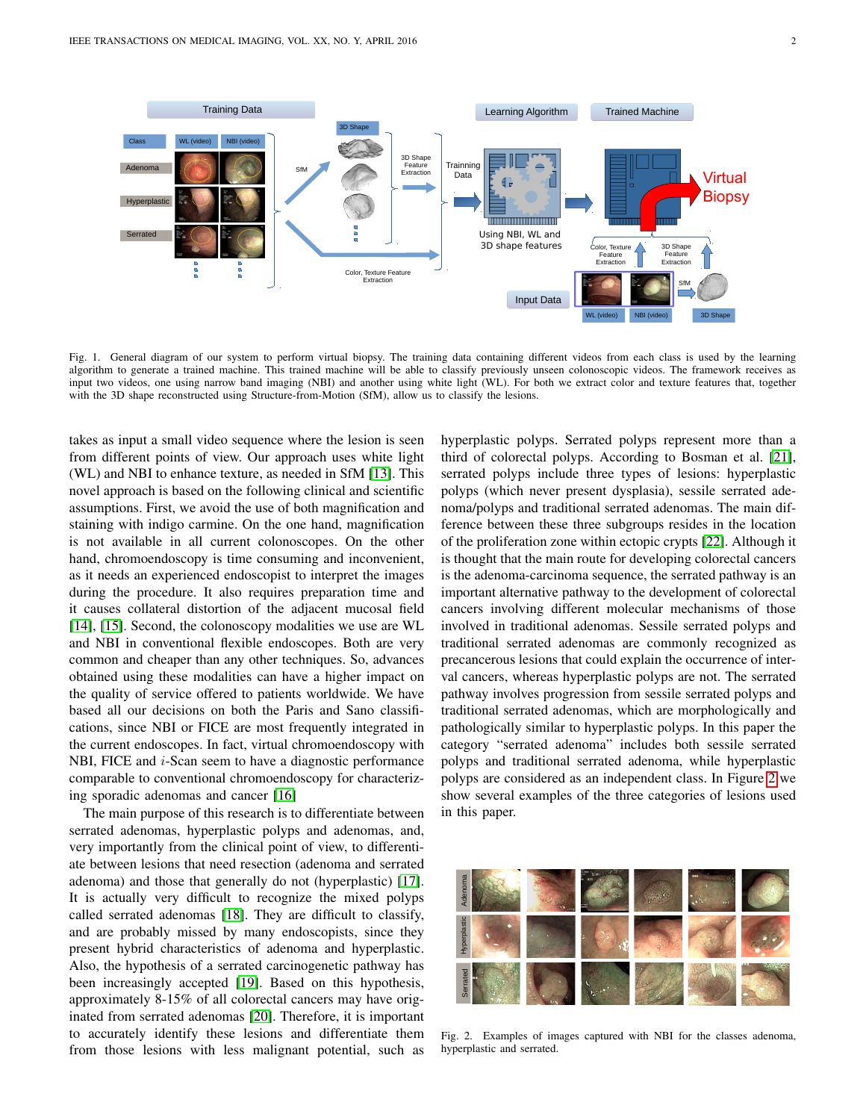

<span id="page-1-0"></span>Fig. 1. General diagram of our system to perform virtual biopsy. The training data containing different videos from each class is used by the learning algorithm to generate a trained machine. This trained machine will be able to classify previously unseen colonoscopic videos. The framework receives as input two videos, one using narrow band imaging (NBI) and another using white light (WL). For both we extract color and texture features that, together with the 3D shape reconstructed using Structure-from-Motion (SfM), allow us to classify the lesions.

takes as input a small video sequence where the lesion is seen from different points of view. Our approach uses white light (WL) and NBI to enhance texture, as needed in SfM [\[13\]](#page-10-12). This novel approach is based on the following clinical and scientific assumptions. First, we avoid the use of both magnification and staining with indigo carmine. On the one hand, magnification is not available in all current colonoscopes. On the other hand, chromoendoscopy is time consuming and inconvenient, as it needs an experienced endoscopist to interpret the images during the procedure. It also requires preparation time and it causes collateral distortion of the adjacent mucosal field [\[14\]](#page-11-0), [\[15\]](#page-11-1). Second, the colonoscopy modalities we use are WL and NBI in conventional flexible endoscopes. Both are very common and cheaper than any other techniques. So, advances obtained using these modalities can have a higher impact on the quality of service offered to patients worldwide. We have based all our decisions on both the Paris and Sano classifications, since NBI or FICE are most frequently integrated in the current endoscopes. In fact, virtual chromoendoscopy with NBI, FICE and *i*-Scan seem to have a diagnostic performance comparable to conventional chromoendoscopy for characterizing sporadic adenomas and cancer [\[16\]](#page-11-2)

The main purpose of this research is to differentiate between serrated adenomas, hyperplastic polyps and adenomas, and, very importantly from the clinical point of view, to differentiate between lesions that need resection (adenoma and serrated adenoma) and those that generally do not (hyperplastic) [\[17\]](#page-11-3). It is actually very difficult to recognize the mixed polyps called serrated adenomas [\[18\]](#page-11-4). They are difficult to classify, and are probably missed by many endoscopists, since they present hybrid characteristics of adenoma and hyperplastic. Also, the hypothesis of a serrated carcinogenetic pathway has been increasingly accepted [\[19\]](#page-11-5). Based on this hypothesis, approximately 8-15% of all colorectal cancers may have originated from serrated adenomas [\[20\]](#page-11-6). Therefore, it is important to accurately identify these lesions and differentiate them from those lesions with less malignant potential, such as

hyperplastic polyps. Serrated polyps represent more than a third of colorectal polyps. According to Bosman et al. [\[21\]](#page-11-7), serrated polyps include three types of lesions: hyperplastic polyps (which never present dysplasia), sessile serrated adenoma/polyps and traditional serrated adenomas. The main difference between these three subgroups resides in the location of the proliferation zone within ectopic crypts [\[22\]](#page-11-8). Although it is thought that the main route for developing colorectal cancers is the adenoma-carcinoma sequence, the serrated pathway is an important alternative pathway to the development of colorectal cancers involving different molecular mechanisms of those involved in traditional adenomas. Sessile serrated polyps and traditional serrated adenomas are commonly recognized as precancerous lesions that could explain the occurrence of interval cancers, whereas hyperplastic polyps are not. The serrated pathway involves progression from sessile serrated polyps and traditional serrated adenomas, which are morphologically and pathologically similar to hyperplastic polyps. In this paper the category "serrated adenoma" includes both sessile serrated polyps and traditional serrated adenoma, while hyperplastic polyps are considered as an independent class. In Figure [2](#page-1-1) we show several examples of the three categories of lesions used in this paper.

<span id="page-1-1"></span>

Fig. 2. Examples of images captured with NBI for the classes adenoma, hyperplastic and serrated.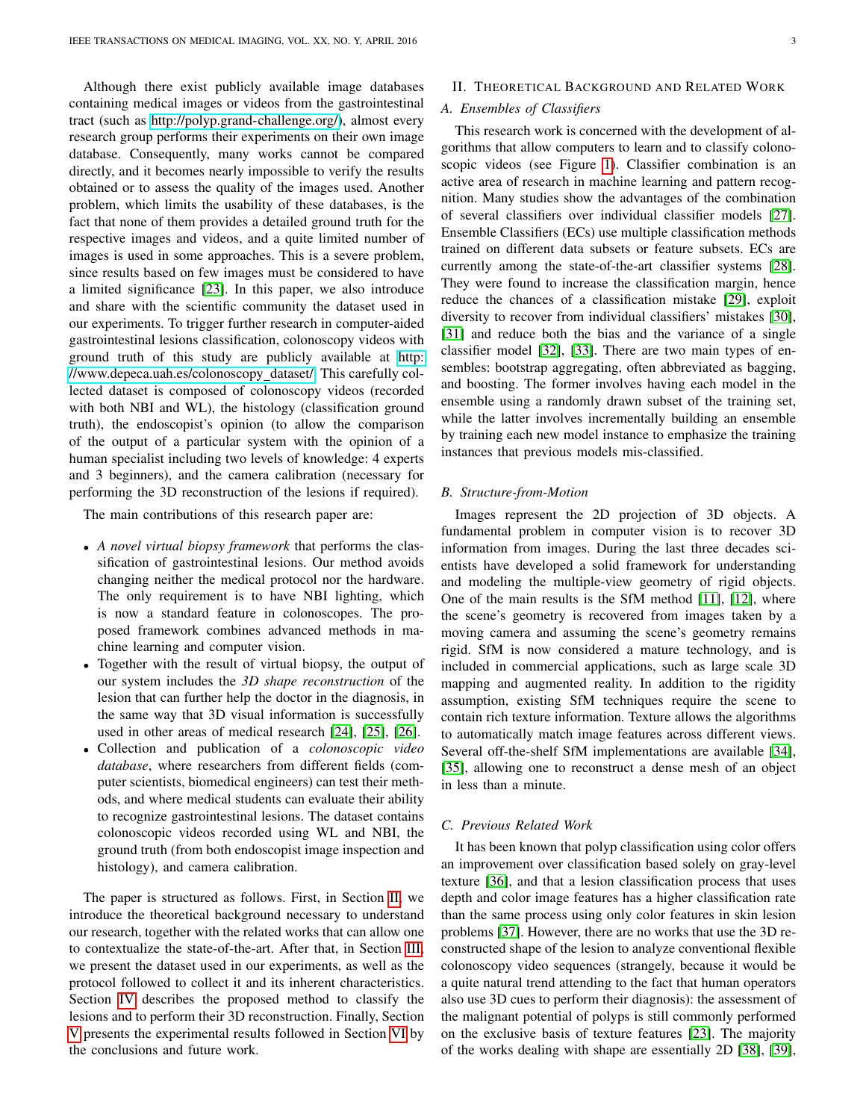Although there exist publicly available image databases containing medical images or videos from the gastrointestinal tract (such as [http://polyp.grand-challenge.org/\)](http://polyp.grand-challenge.org/), almost every research group performs their experiments on their own image database. Consequently, many works cannot be compared directly, and it becomes nearly impossible to verify the results obtained or to assess the quality of the images used. Another problem, which limits the usability of these databases, is the fact that none of them provides a detailed ground truth for the respective images and videos, and a quite limited number of images is used in some approaches. This is a severe problem, since results based on few images must be considered to have a limited significance [\[23\]](#page-11-9). In this paper, we also introduce and share with the scientific community the dataset used in our experiments. To trigger further research in computer-aided gastrointestinal lesions classification, colonoscopy videos with ground truth of this study are publicly available at [http:](http://www.depeca.uah.es/colonoscopy_dataset/) [//www.depeca.uah.es/colonoscopy](http://www.depeca.uah.es/colonoscopy_dataset/) dataset/. This carefully collected dataset is composed of colonoscopy videos (recorded with both NBI and WL), the histology (classification ground truth), the endoscopist's opinion (to allow the comparison of the output of a particular system with the opinion of a human specialist including two levels of knowledge: 4 experts and 3 beginners), and the camera calibration (necessary for performing the 3D reconstruction of the lesions if required).

The main contributions of this research paper are:

- *A novel virtual biopsy framework* that performs the classification of gastrointestinal lesions. Our method avoids changing neither the medical protocol nor the hardware. The only requirement is to have NBI lighting, which is now a standard feature in colonoscopes. The proposed framework combines advanced methods in machine learning and computer vision.
- Together with the result of virtual biopsy, the output of our system includes the *3D shape reconstruction* of the lesion that can further help the doctor in the diagnosis, in the same way that 3D visual information is successfully used in other areas of medical research [\[24\]](#page-11-10), [\[25\]](#page-11-11), [\[26\]](#page-11-12).
- Collection and publication of a *colonoscopic video database*, where researchers from different fields (computer scientists, biomedical engineers) can test their methods, and where medical students can evaluate their ability to recognize gastrointestinal lesions. The dataset contains colonoscopic videos recorded using WL and NBI, the ground truth (from both endoscopist image inspection and histology), and camera calibration.

The paper is structured as follows. First, in Section [II,](#page-2-0) we introduce the theoretical background necessary to understand our research, together with the related works that can allow one to contextualize the state-of-the-art. After that, in Section [III,](#page-3-0) we present the dataset used in our experiments, as well as the protocol followed to collect it and its inherent characteristics. Section [IV](#page-3-1) describes the proposed method to classify the lesions and to perform their 3D reconstruction. Finally, Section [V](#page-6-0) presents the experimental results followed in Section [VI](#page-9-0) by the conclusions and future work.

# <span id="page-2-0"></span>*A. Ensembles of Classifiers*

This research work is concerned with the development of algorithms that allow computers to learn and to classify colonoscopic videos (see Figure [1\)](#page-1-0). Classifier combination is an active area of research in machine learning and pattern recognition. Many studies show the advantages of the combination of several classifiers over individual classifier models [\[27\]](#page-11-13). Ensemble Classifiers (ECs) use multiple classification methods trained on different data subsets or feature subsets. ECs are currently among the state-of-the-art classifier systems [\[28\]](#page-11-14). They were found to increase the classification margin, hence reduce the chances of a classification mistake [\[29\]](#page-11-15), exploit diversity to recover from individual classifiers' mistakes [\[30\]](#page-11-16), [\[31\]](#page-11-17) and reduce both the bias and the variance of a single classifier model [\[32\]](#page-11-18), [\[33\]](#page-11-19). There are two main types of ensembles: bootstrap aggregating, often abbreviated as bagging, and boosting. The former involves having each model in the ensemble using a randomly drawn subset of the training set, while the latter involves incrementally building an ensemble by training each new model instance to emphasize the training instances that previous models mis-classified.

## *B. Structure-from-Motion*

Images represent the 2D projection of 3D objects. A fundamental problem in computer vision is to recover 3D information from images. During the last three decades scientists have developed a solid framework for understanding and modeling the multiple-view geometry of rigid objects. One of the main results is the SfM method [\[11\]](#page-10-10), [\[12\]](#page-10-11), where the scene's geometry is recovered from images taken by a moving camera and assuming the scene's geometry remains rigid. SfM is now considered a mature technology, and is included in commercial applications, such as large scale 3D mapping and augmented reality. In addition to the rigidity assumption, existing SfM techniques require the scene to contain rich texture information. Texture allows the algorithms to automatically match image features across different views. Several off-the-shelf SfM implementations are available [\[34\]](#page-11-20), [\[35\]](#page-11-21), allowing one to reconstruct a dense mesh of an object in less than a minute.

## *C. Previous Related Work*

It has been known that polyp classification using color offers an improvement over classification based solely on gray-level texture [\[36\]](#page-11-22), and that a lesion classification process that uses depth and color image features has a higher classification rate than the same process using only color features in skin lesion problems [\[37\]](#page-11-23). However, there are no works that use the 3D reconstructed shape of the lesion to analyze conventional flexible colonoscopy video sequences (strangely, because it would be a quite natural trend attending to the fact that human operators also use 3D cues to perform their diagnosis): the assessment of the malignant potential of polyps is still commonly performed on the exclusive basis of texture features [\[23\]](#page-11-9). The majority of the works dealing with shape are essentially 2D [\[38\]](#page-11-24), [\[39\]](#page-11-25),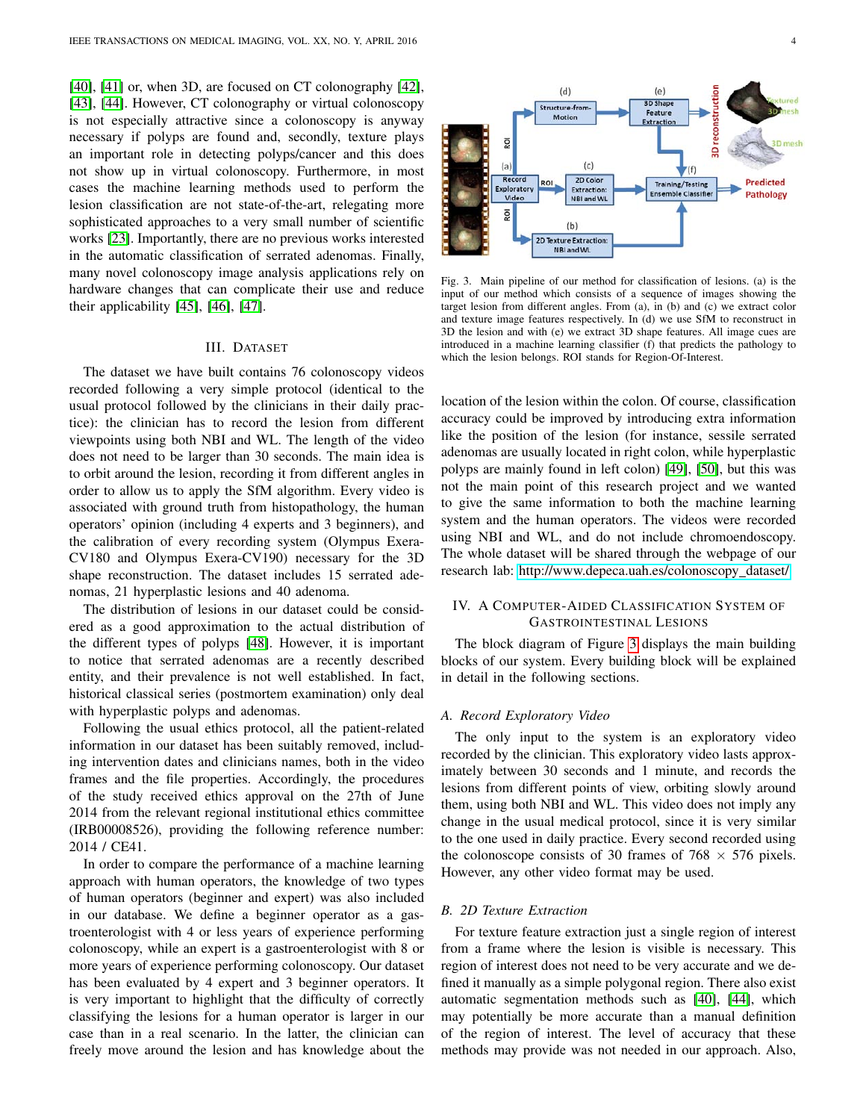[\[40\]](#page-11-26), [\[41\]](#page-11-27) or, when 3D, are focused on CT colonography [\[42\]](#page-11-28), [\[43\]](#page-11-29), [\[44\]](#page-11-30). However, CT colonography or virtual colonoscopy is not especially attractive since a colonoscopy is anyway necessary if polyps are found and, secondly, texture plays an important role in detecting polyps/cancer and this does not show up in virtual colonoscopy. Furthermore, in most cases the machine learning methods used to perform the lesion classification are not state-of-the-art, relegating more sophisticated approaches to a very small number of scientific works [\[23\]](#page-11-9). Importantly, there are no previous works interested in the automatic classification of serrated adenomas. Finally, many novel colonoscopy image analysis applications rely on hardware changes that can complicate their use and reduce their applicability [\[45\]](#page-11-31), [\[46\]](#page-11-32), [\[47\]](#page-11-33).

## III. DATASET

<span id="page-3-0"></span>The dataset we have built contains 76 colonoscopy videos recorded following a very simple protocol (identical to the usual protocol followed by the clinicians in their daily practice): the clinician has to record the lesion from different viewpoints using both NBI and WL. The length of the video does not need to be larger than 30 seconds. The main idea is to orbit around the lesion, recording it from different angles in order to allow us to apply the SfM algorithm. Every video is associated with ground truth from histopathology, the human operators' opinion (including 4 experts and 3 beginners), and the calibration of every recording system (Olympus Exera-CV180 and Olympus Exera-CV190) necessary for the 3D shape reconstruction. The dataset includes 15 serrated adenomas, 21 hyperplastic lesions and 40 adenoma.

The distribution of lesions in our dataset could be considered as a good approximation to the actual distribution of the different types of polyps [\[48\]](#page-11-34). However, it is important to notice that serrated adenomas are a recently described entity, and their prevalence is not well established. In fact, historical classical series (postmortem examination) only deal with hyperplastic polyps and adenomas.

Following the usual ethics protocol, all the patient-related information in our dataset has been suitably removed, including intervention dates and clinicians names, both in the video frames and the file properties. Accordingly, the procedures of the study received ethics approval on the 27th of June 2014 from the relevant regional institutional ethics committee (IRB00008526), providing the following reference number: 2014 / CE41.

In order to compare the performance of a machine learning approach with human operators, the knowledge of two types of human operators (beginner and expert) was also included in our database. We define a beginner operator as a gastroenterologist with 4 or less years of experience performing colonoscopy, while an expert is a gastroenterologist with 8 or more years of experience performing colonoscopy. Our dataset has been evaluated by 4 expert and 3 beginner operators. It is very important to highlight that the difficulty of correctly classifying the lesions for a human operator is larger in our case than in a real scenario. In the latter, the clinician can freely move around the lesion and has knowledge about the



<span id="page-3-2"></span>Fig. 3. Main pipeline of our method for classification of lesions. (a) is the input of our method which consists of a sequence of images showing the target lesion from different angles. From (a), in (b) and (c) we extract color and texture image features respectively. In (d) we use SfM to reconstruct in 3D the lesion and with (e) we extract 3D shape features. All image cues are introduced in a machine learning classifier (f) that predicts the pathology to which the lesion belongs. ROI stands for Region-Of-Interest.

location of the lesion within the colon. Of course, classification accuracy could be improved by introducing extra information like the position of the lesion (for instance, sessile serrated adenomas are usually located in right colon, while hyperplastic polyps are mainly found in left colon) [\[49\]](#page-11-35), [\[50\]](#page-11-36), but this was not the main point of this research project and we wanted to give the same information to both the machine learning system and the human operators. The videos were recorded using NBI and WL, and do not include chromoendoscopy. The whole dataset will be shared through the webpage of our research lab: [http://www.depeca.uah.es/colonoscopy](http://www.depeca.uah.es/colonoscopy_dataset/) dataset/

# <span id="page-3-1"></span>IV. A COMPUTER-AIDED CLASSIFICATION SYSTEM OF GASTROINTESTINAL LESIONS

The block diagram of Figure [3](#page-3-2) displays the main building blocks of our system. Every building block will be explained in detail in the following sections.

## *A. Record Exploratory Video*

The only input to the system is an exploratory video recorded by the clinician. This exploratory video lasts approximately between 30 seconds and 1 minute, and records the lesions from different points of view, orbiting slowly around them, using both NBI and WL. This video does not imply any change in the usual medical protocol, since it is very similar to the one used in daily practice. Every second recorded using the colonoscope consists of 30 frames of 768  $\times$  576 pixels. However, any other video format may be used.

## *B. 2D Texture Extraction*

For texture feature extraction just a single region of interest from a frame where the lesion is visible is necessary. This region of interest does not need to be very accurate and we defined it manually as a simple polygonal region. There also exist automatic segmentation methods such as [\[40\]](#page-11-26), [\[44\]](#page-11-30), which may potentially be more accurate than a manual definition of the region of interest. The level of accuracy that these methods may provide was not needed in our approach. Also,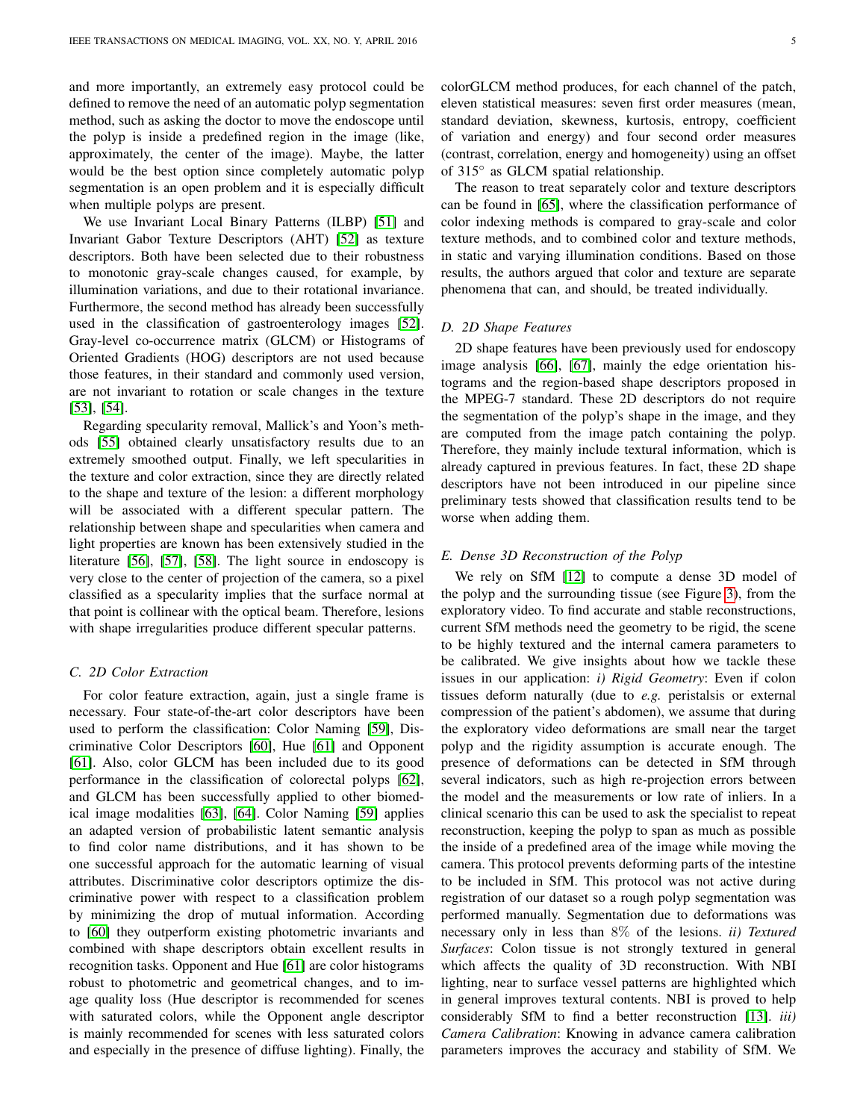and more importantly, an extremely easy protocol could be defined to remove the need of an automatic polyp segmentation method, such as asking the doctor to move the endoscope until the polyp is inside a predefined region in the image (like, approximately, the center of the image). Maybe, the latter would be the best option since completely automatic polyp segmentation is an open problem and it is especially difficult when multiple polyps are present.

We use Invariant Local Binary Patterns (ILBP) [\[51\]](#page-11-37) and Invariant Gabor Texture Descriptors (AHT) [\[52\]](#page-11-38) as texture descriptors. Both have been selected due to their robustness to monotonic gray-scale changes caused, for example, by illumination variations, and due to their rotational invariance. Furthermore, the second method has already been successfully used in the classification of gastroenterology images [\[52\]](#page-11-38). Gray-level co-occurrence matrix (GLCM) or Histograms of Oriented Gradients (HOG) descriptors are not used because those features, in their standard and commonly used version, are not invariant to rotation or scale changes in the texture [\[53\]](#page-11-39), [\[54\]](#page-11-40).

Regarding specularity removal, Mallick's and Yoon's methods [\[55\]](#page-11-41) obtained clearly unsatisfactory results due to an extremely smoothed output. Finally, we left specularities in the texture and color extraction, since they are directly related to the shape and texture of the lesion: a different morphology will be associated with a different specular pattern. The relationship between shape and specularities when camera and light properties are known has been extensively studied in the literature [\[56\]](#page-11-42), [\[57\]](#page-11-43), [\[58\]](#page-12-0). The light source in endoscopy is very close to the center of projection of the camera, so a pixel classified as a specularity implies that the surface normal at that point is collinear with the optical beam. Therefore, lesions with shape irregularities produce different specular patterns.

## *C. 2D Color Extraction*

For color feature extraction, again, just a single frame is necessary. Four state-of-the-art color descriptors have been used to perform the classification: Color Naming [\[59\]](#page-12-1), Discriminative Color Descriptors [\[60\]](#page-12-2), Hue [\[61\]](#page-12-3) and Opponent [\[61\]](#page-12-3). Also, color GLCM has been included due to its good performance in the classification of colorectal polyps [\[62\]](#page-12-4), and GLCM has been successfully applied to other biomedical image modalities [\[63\]](#page-12-5), [\[64\]](#page-12-6). Color Naming [\[59\]](#page-12-1) applies an adapted version of probabilistic latent semantic analysis to find color name distributions, and it has shown to be one successful approach for the automatic learning of visual attributes. Discriminative color descriptors optimize the discriminative power with respect to a classification problem by minimizing the drop of mutual information. According to [\[60\]](#page-12-2) they outperform existing photometric invariants and combined with shape descriptors obtain excellent results in recognition tasks. Opponent and Hue [\[61\]](#page-12-3) are color histograms robust to photometric and geometrical changes, and to image quality loss (Hue descriptor is recommended for scenes with saturated colors, while the Opponent angle descriptor is mainly recommended for scenes with less saturated colors and especially in the presence of diffuse lighting). Finally, the colorGLCM method produces, for each channel of the patch, eleven statistical measures: seven first order measures (mean, standard deviation, skewness, kurtosis, entropy, coefficient of variation and energy) and four second order measures (contrast, correlation, energy and homogeneity) using an offset of 315◦ as GLCM spatial relationship.

The reason to treat separately color and texture descriptors can be found in [\[65\]](#page-12-7), where the classification performance of color indexing methods is compared to gray-scale and color texture methods, and to combined color and texture methods, in static and varying illumination conditions. Based on those results, the authors argued that color and texture are separate phenomena that can, and should, be treated individually.

#### *D. 2D Shape Features*

2D shape features have been previously used for endoscopy image analysis [\[66\]](#page-12-8), [\[67\]](#page-12-9), mainly the edge orientation histograms and the region-based shape descriptors proposed in the MPEG-7 standard. These 2D descriptors do not require the segmentation of the polyp's shape in the image, and they are computed from the image patch containing the polyp. Therefore, they mainly include textural information, which is already captured in previous features. In fact, these 2D shape descriptors have not been introduced in our pipeline since preliminary tests showed that classification results tend to be worse when adding them.

## *E. Dense 3D Reconstruction of the Polyp*

We rely on SfM [\[12\]](#page-10-11) to compute a dense 3D model of the polyp and the surrounding tissue (see Figure [3\)](#page-3-2), from the exploratory video. To find accurate and stable reconstructions, current SfM methods need the geometry to be rigid, the scene to be highly textured and the internal camera parameters to be calibrated. We give insights about how we tackle these issues in our application: *i) Rigid Geometry*: Even if colon tissues deform naturally (due to *e.g.* peristalsis or external compression of the patient's abdomen), we assume that during the exploratory video deformations are small near the target polyp and the rigidity assumption is accurate enough. The presence of deformations can be detected in SfM through several indicators, such as high re-projection errors between the model and the measurements or low rate of inliers. In a clinical scenario this can be used to ask the specialist to repeat reconstruction, keeping the polyp to span as much as possible the inside of a predefined area of the image while moving the camera. This protocol prevents deforming parts of the intestine to be included in SfM. This protocol was not active during registration of our dataset so a rough polyp segmentation was performed manually. Segmentation due to deformations was necessary only in less than 8% of the lesions. *ii) Textured Surfaces*: Colon tissue is not strongly textured in general which affects the quality of 3D reconstruction. With NBI lighting, near to surface vessel patterns are highlighted which in general improves textural contents. NBI is proved to help considerably SfM to find a better reconstruction [\[13\]](#page-10-12). *iii) Camera Calibration*: Knowing in advance camera calibration parameters improves the accuracy and stability of SfM. We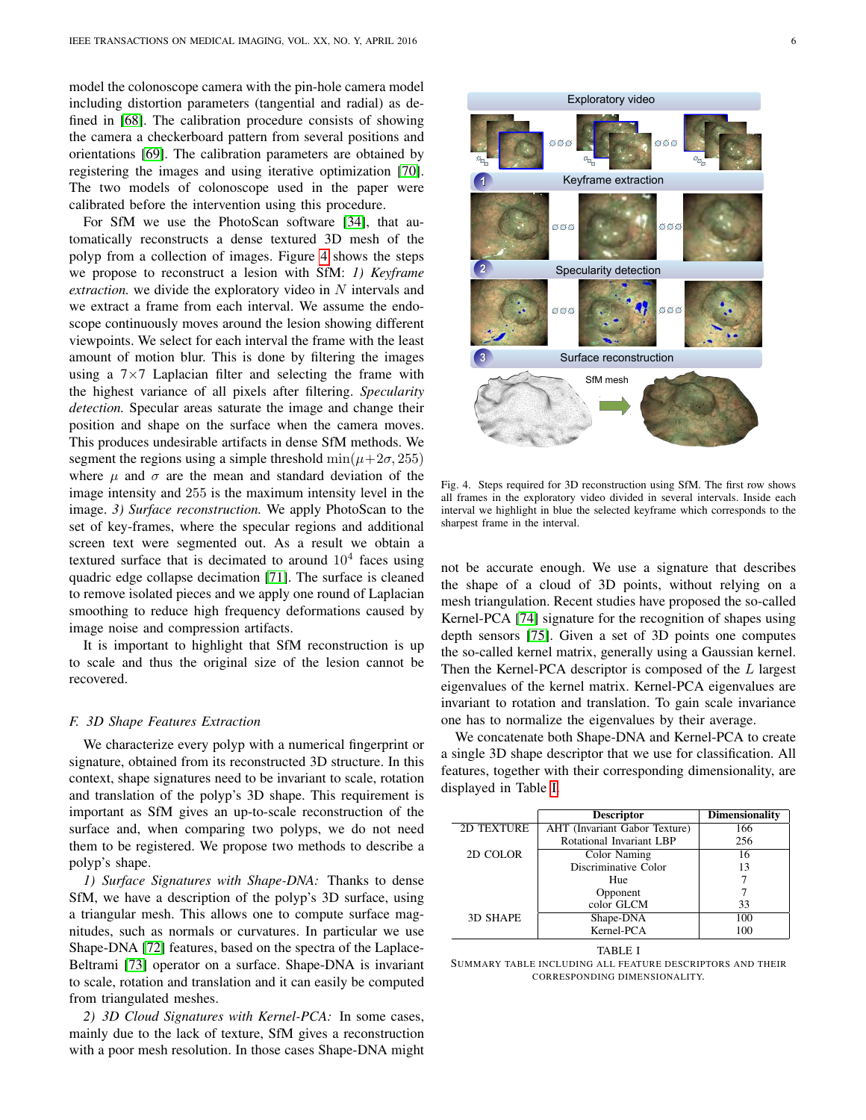model the colonoscope camera with the pin-hole camera model including distortion parameters (tangential and radial) as defined in [\[68\]](#page-12-10). The calibration procedure consists of showing the camera a checkerboard pattern from several positions and orientations [\[69\]](#page-12-11). The calibration parameters are obtained by registering the images and using iterative optimization [\[70\]](#page-12-12). The two models of colonoscope used in the paper were calibrated before the intervention using this procedure.

For SfM we use the PhotoScan software [\[34\]](#page-11-20), that automatically reconstructs a dense textured 3D mesh of the polyp from a collection of images. Figure [4](#page-5-0) shows the steps we propose to reconstruct a lesion with SfM: *1) Keyframe extraction.* we divide the exploratory video in N intervals and we extract a frame from each interval. We assume the endoscope continuously moves around the lesion showing different viewpoints. We select for each interval the frame with the least amount of motion blur. This is done by filtering the images using a  $7\times7$  Laplacian filter and selecting the frame with the highest variance of all pixels after filtering. *Specularity detection.* Specular areas saturate the image and change their position and shape on the surface when the camera moves. This produces undesirable artifacts in dense SfM methods. We segment the regions using a simple threshold  $\min(\mu + 2\sigma, 255)$ where  $\mu$  and  $\sigma$  are the mean and standard deviation of the image intensity and 255 is the maximum intensity level in the image. *3) Surface reconstruction.* We apply PhotoScan to the set of key-frames, where the specular regions and additional screen text were segmented out. As a result we obtain a textured surface that is decimated to around  $10^4$  faces using quadric edge collapse decimation [\[71\]](#page-12-13). The surface is cleaned to remove isolated pieces and we apply one round of Laplacian smoothing to reduce high frequency deformations caused by image noise and compression artifacts.

It is important to highlight that SfM reconstruction is up to scale and thus the original size of the lesion cannot be recovered.

#### *F. 3D Shape Features Extraction*

We characterize every polyp with a numerical fingerprint or signature, obtained from its reconstructed 3D structure. In this context, shape signatures need to be invariant to scale, rotation and translation of the polyp's 3D shape. This requirement is important as SfM gives an up-to-scale reconstruction of the surface and, when comparing two polyps, we do not need them to be registered. We propose two methods to describe a polyp's shape.

*1) Surface Signatures with Shape-DNA:* Thanks to dense SfM, we have a description of the polyp's 3D surface, using a triangular mesh. This allows one to compute surface magnitudes, such as normals or curvatures. In particular we use Shape-DNA [\[72\]](#page-12-14) features, based on the spectra of the Laplace-Beltrami [\[73\]](#page-12-15) operator on a surface. Shape-DNA is invariant to scale, rotation and translation and it can easily be computed from triangulated meshes.

*2) 3D Cloud Signatures with Kernel-PCA:* In some cases, mainly due to the lack of texture, SfM gives a reconstruction with a poor mesh resolution. In those cases Shape-DNA might



<span id="page-5-0"></span>Fig. 4. Steps required for 3D reconstruction using SfM. The first row shows all frames in the exploratory video divided in several intervals. Inside each interval we highlight in blue the selected keyframe which corresponds to the sharpest frame in the interval.

not be accurate enough. We use a signature that describes the shape of a cloud of 3D points, without relying on a mesh triangulation. Recent studies have proposed the so-called Kernel-PCA [\[74\]](#page-12-16) signature for the recognition of shapes using depth sensors [\[75\]](#page-12-17). Given a set of 3D points one computes the so-called kernel matrix, generally using a Gaussian kernel. Then the Kernel-PCA descriptor is composed of the L largest eigenvalues of the kernel matrix. Kernel-PCA eigenvalues are invariant to rotation and translation. To gain scale invariance one has to normalize the eigenvalues by their average.

We concatenate both Shape-DNA and Kernel-PCA to create a single 3D shape descriptor that we use for classification. All features, together with their corresponding dimensionality, are displayed in Table [I.](#page-5-1)

|                   | <b>Descriptor</b>             | <b>Dimensionality</b> |
|-------------------|-------------------------------|-----------------------|
| <b>2D TEXTURE</b> | AHT (Invariant Gabor Texture) | 166                   |
|                   | Rotational Invariant LBP      | 256                   |
| 2D COLOR          | Color Naming                  | 16                    |
|                   | Discriminative Color          | 13                    |
|                   | Hue                           |                       |
|                   | Opponent                      |                       |
|                   | color GLCM                    | 33                    |
| 3D SHAPE          | Shape-DNA                     | 100                   |
|                   | Kernel-PCA                    | 100                   |
|                   |                               |                       |



<span id="page-5-1"></span>SUMMARY TABLE INCLUDING ALL FEATURE DESCRIPTORS AND THEIR CORRESPONDING DIMENSIONALITY.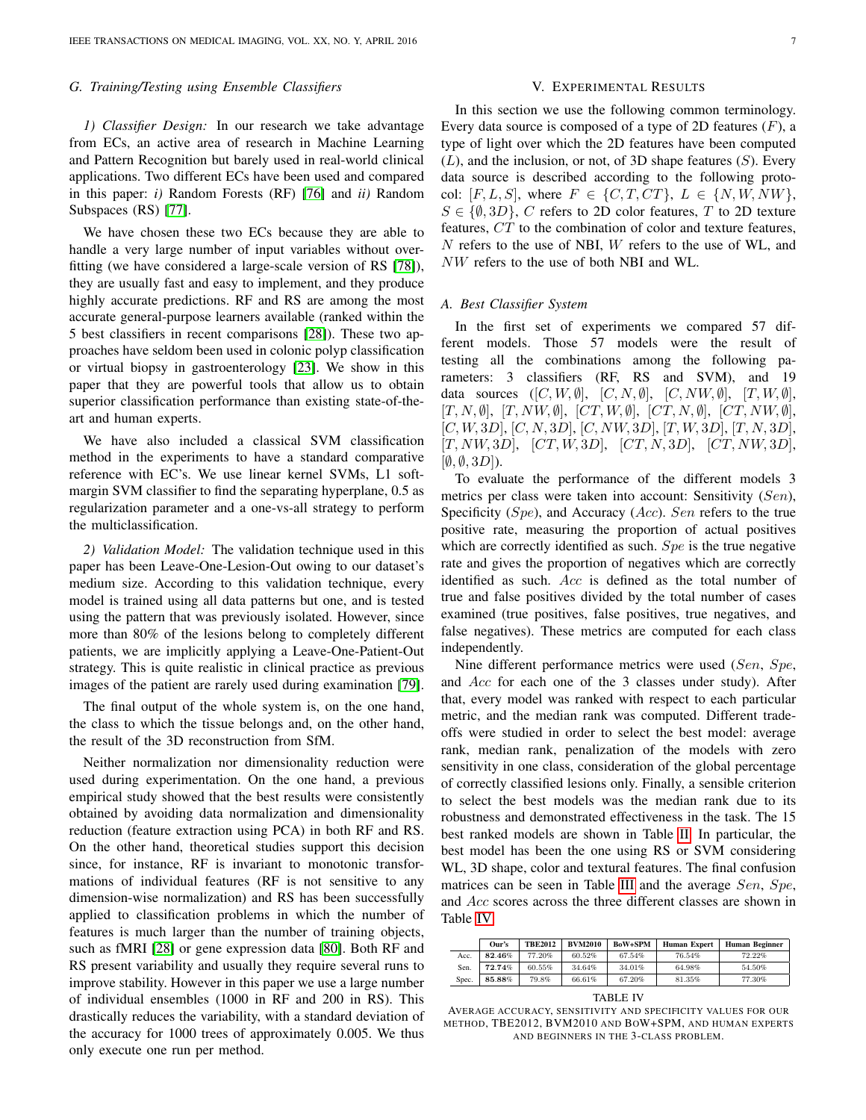## *G. Training/Testing using Ensemble Classifiers*

*1) Classifier Design:* In our research we take advantage from ECs, an active area of research in Machine Learning and Pattern Recognition but barely used in real-world clinical applications. Two different ECs have been used and compared in this paper: *i)* Random Forests (RF) [\[76\]](#page-12-18) and *ii)* Random Subspaces (RS) [\[77\]](#page-12-19).

We have chosen these two ECs because they are able to handle a very large number of input variables without overfitting (we have considered a large-scale version of RS [\[78\]](#page-12-20)), they are usually fast and easy to implement, and they produce highly accurate predictions. RF and RS are among the most accurate general-purpose learners available (ranked within the 5 best classifiers in recent comparisons [\[28\]](#page-11-14)). These two approaches have seldom been used in colonic polyp classification or virtual biopsy in gastroenterology [\[23\]](#page-11-9). We show in this paper that they are powerful tools that allow us to obtain superior classification performance than existing state-of-theart and human experts.

We have also included a classical SVM classification method in the experiments to have a standard comparative reference with EC's. We use linear kernel SVMs, L1 softmargin SVM classifier to find the separating hyperplane, 0.5 as regularization parameter and a one-vs-all strategy to perform the multiclassification.

*2) Validation Model:* The validation technique used in this paper has been Leave-One-Lesion-Out owing to our dataset's medium size. According to this validation technique, every model is trained using all data patterns but one, and is tested using the pattern that was previously isolated. However, since more than 80% of the lesions belong to completely different patients, we are implicitly applying a Leave-One-Patient-Out strategy. This is quite realistic in clinical practice as previous images of the patient are rarely used during examination [\[79\]](#page-12-21).

The final output of the whole system is, on the one hand, the class to which the tissue belongs and, on the other hand, the result of the 3D reconstruction from SfM.

Neither normalization nor dimensionality reduction were used during experimentation. On the one hand, a previous empirical study showed that the best results were consistently obtained by avoiding data normalization and dimensionality reduction (feature extraction using PCA) in both RF and RS. On the other hand, theoretical studies support this decision since, for instance, RF is invariant to monotonic transformations of individual features (RF is not sensitive to any dimension-wise normalization) and RS has been successfully applied to classification problems in which the number of features is much larger than the number of training objects, such as fMRI [\[28\]](#page-11-14) or gene expression data [\[80\]](#page-12-22). Both RF and RS present variability and usually they require several runs to improve stability. However in this paper we use a large number of individual ensembles (1000 in RF and 200 in RS). This drastically reduces the variability, with a standard deviation of the accuracy for 1000 trees of approximately 0.005. We thus only execute one run per method.

## V. EXPERIMENTAL RESULTS

<span id="page-6-0"></span>In this section we use the following common terminology. Every data source is composed of a type of 2D features  $(F)$ , a type of light over which the 2D features have been computed  $(L)$ , and the inclusion, or not, of 3D shape features  $(S)$ . Every data source is described according to the following protocol:  $[F, L, S]$ , where  $F \in \{C, T, CT\}$ ,  $L \in \{N, W, NW\}$ ,  $S \in \{0, 3D\}, C$  refers to 2D color features, T to 2D texture features, CT to the combination of color and texture features,  $N$  refers to the use of NBI,  $W$  refers to the use of WL, and NW refers to the use of both NBI and WL.

#### *A. Best Classifier System*

In the first set of experiments we compared 57 different models. Those 57 models were the result of testing all the combinations among the following parameters: 3 classifiers (RF, RS and SVM), and 19 data sources  $([C, W, \emptyset], [C, N, \emptyset], [C, NW, \emptyset], [T, W, \emptyset],$  $[T, N, \emptyset], [T, NW, \emptyset], [CT, W, \emptyset], [CT, N, \emptyset], [CT, NW, \emptyset],$  $[C, W, 3D], [C, N, 3D], [C, NW, 3D], [T, W, 3D], [T, N, 3D],$  $[T, NW, 3D], [CT, W, 3D], [CT, N, 3D], [CT, NW, 3D],$  $[\emptyset, \emptyset, 3D]$ .

To evaluate the performance of the different models 3 metrics per class were taken into account: Sensitivity (Sen), Specificity (Spe), and Accuracy (Acc). Sen refers to the true positive rate, measuring the proportion of actual positives which are correctly identified as such. Spe is the true negative rate and gives the proportion of negatives which are correctly identified as such. Acc is defined as the total number of true and false positives divided by the total number of cases examined (true positives, false positives, true negatives, and false negatives). These metrics are computed for each class independently.

Nine different performance metrics were used (Sen, Spe, and Acc for each one of the 3 classes under study). After that, every model was ranked with respect to each particular metric, and the median rank was computed. Different tradeoffs were studied in order to select the best model: average rank, median rank, penalization of the models with zero sensitivity in one class, consideration of the global percentage of correctly classified lesions only. Finally, a sensible criterion to select the best models was the median rank due to its robustness and demonstrated effectiveness in the task. The 15 best ranked models are shown in Table [II.](#page-7-0) In particular, the best model has been the one using RS or SVM considering WL, 3D shape, color and textural features. The final confusion matrices can be seen in Table [III](#page-7-1) and the average Sen, Spe, and Acc scores across the three different classes are shown in Table [IV.](#page-6-1)

|       | Our's  | <b>TBE2012</b> | <b>BVM2010</b> | BoW+SPM | <b>Human Expert</b> | Human Beginner |
|-------|--------|----------------|----------------|---------|---------------------|----------------|
| Acc.  | 82.46% | 77.20%         | 60.52%         | 67.54%  | 76.54%              | 72.22%         |
| Sen.  | 72.74% | 60.55%         | 34.64%         | 34.01%  | 64.98%              | 54.50%         |
| Spec. | 85.88% | 79.8%          | 66.61%         | 67.20%  | 81.35%              | 77.30%         |

TABLE IV

<span id="page-6-1"></span>AVERAGE ACCURACY, SENSITIVITY AND SPECIFICITY VALUES FOR OUR METHOD, TBE2012, BVM2010 AND BOW+SPM, AND HUMAN EXPERTS AND BEGINNERS IN THE 3-CLASS PROBLEM.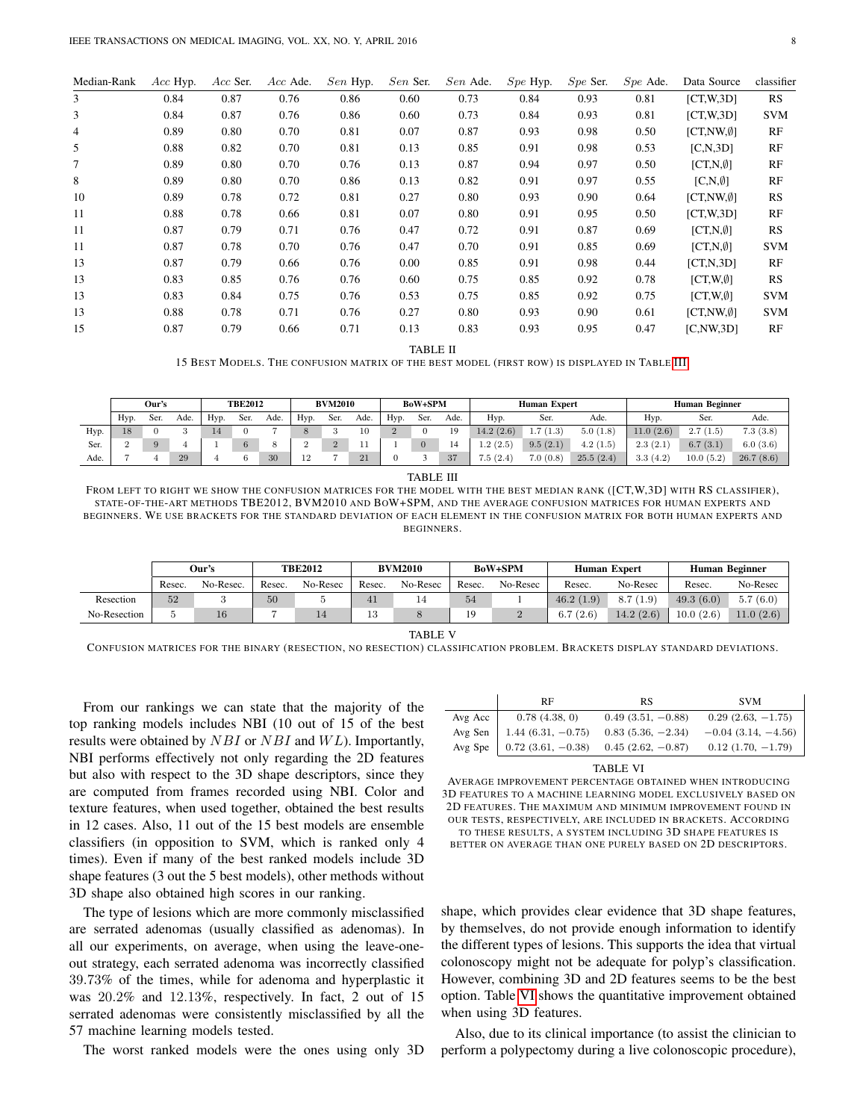| Median-Rank | Acc Hyp. | Acc Ser. | Acc Ade. | $Sen$ Hyp. | Sen Ser. | Sen Ade. | $Spe$ Hyp. | Spe Ser. | Spe Ade. | Data Source           | classifier |
|-------------|----------|----------|----------|------------|----------|----------|------------|----------|----------|-----------------------|------------|
| 3           | 0.84     | 0.87     | 0.76     | 0.86       | 0.60     | 0.73     | 0.84       | 0.93     | 0.81     | [CT,W,3D]             | RS         |
| 3           | 0.84     | 0.87     | 0.76     | 0.86       | 0.60     | 0.73     | 0.84       | 0.93     | 0.81     | [CT,W,3D]             | <b>SVM</b> |
| 4           | 0.89     | 0.80     | 0.70     | 0.81       | 0.07     | 0.87     | 0.93       | 0.98     | 0.50     | $[CT, NW, \emptyset]$ | RF         |
| 5           | 0.88     | 0.82     | 0.70     | 0.81       | 0.13     | 0.85     | 0.91       | 0.98     | 0.53     | [C, N, 3D]            | RF         |
| $\tau$      | 0.89     | 0.80     | 0.70     | 0.76       | 0.13     | 0.87     | 0.94       | 0.97     | 0.50     | $[CT, N, \emptyset]$  | RF         |
| 8           | 0.89     | 0.80     | 0.70     | 0.86       | 0.13     | 0.82     | 0.91       | 0.97     | 0.55     | $[C, N, \emptyset]$   | RF         |
| 10          | 0.89     | 0.78     | 0.72     | 0.81       | 0.27     | 0.80     | 0.93       | 0.90     | 0.64     | $[CT, NW, \emptyset]$ | <b>RS</b>  |
| 11          | 0.88     | 0.78     | 0.66     | 0.81       | 0.07     | 0.80     | 0.91       | 0.95     | 0.50     | [CT,W,3D]             | RF         |
| 11          | 0.87     | 0.79     | 0.71     | 0.76       | 0.47     | 0.72     | 0.91       | 0.87     | 0.69     | $[CT, N, \emptyset]$  | RS         |
| 11          | 0.87     | 0.78     | 0.70     | 0.76       | 0.47     | 0.70     | 0.91       | 0.85     | 0.69     | $[CT, N, \emptyset]$  | <b>SVM</b> |
| 13          | 0.87     | 0.79     | 0.66     | 0.76       | 0.00     | 0.85     | 0.91       | 0.98     | 0.44     | [CT,N,3D]             | RF         |
| 13          | 0.83     | 0.85     | 0.76     | 0.76       | 0.60     | 0.75     | 0.85       | 0.92     | 0.78     | $[CT,W,\emptyset]$    | <b>RS</b>  |
| 13          | 0.83     | 0.84     | 0.75     | 0.76       | 0.53     | 0.75     | 0.85       | 0.92     | 0.75     | $[CT,W,\emptyset]$    | <b>SVM</b> |
| 13          | 0.88     | 0.78     | 0.71     | 0.76       | 0.27     | 0.80     | 0.93       | 0.90     | 0.61     | $[CT, NW, \emptyset]$ | <b>SVM</b> |
| 15          | 0.87     | 0.79     | 0.66     | 0.71       | 0.13     | 0.83     | 0.93       | 0.95     | 0.47     | [C.NW.3D]             | RF         |

TABLE II

15 BEST MODELS. THE CONFUSION MATRIX OF THE BEST MODEL (FIRST ROW) IS DISPLAYED IN TABLE [III.](#page-7-1)

<span id="page-7-0"></span>

|      | Our's |      |      | <b>TBE2012</b> |      |      | <b>BVM2010</b> |      |      | <b>BoW+SPM</b> |          |                           |              | <b>Human Expert</b>             |           | <b>Human Beginner</b> |              |           |  |
|------|-------|------|------|----------------|------|------|----------------|------|------|----------------|----------|---------------------------|--------------|---------------------------------|-----------|-----------------------|--------------|-----------|--|
|      | Hyp.  | Ser. | Ade. | Hyp.           | Ser. | Ade. | Hvp.           | Ser. | Ade. | Hyp.           | Ser.     | Ade.                      | Hyp.         | Ser.                            | Ade.      | Hyp.                  | Ser.         | Ade.      |  |
| Hyp. | 18    |      |      | 1 <sub>A</sub> |      |      |                |      | 10   |                |          | 10                        | 14.2(2.6)    | $\overline{7}$<br>$1.3^{\circ}$ | 5.0(1.8)  | 11.0(2.6)             | 2.7(1.5)     | 7.3(3.8)  |  |
| Ser. |       |      |      |                |      | u    |                |      |      |                | $\theta$ |                           | 1.2(2.5)     | 9.5(2.1)                        | 4.2(1.5)  | 2.3(2.1)              | 6.7<br>(3.1) | 6.0(3.6)  |  |
| Ade. |       |      | 29   |                |      | 30   | ະຕ             |      | 21   |                |          | $\Omega$<br>$\frac{3}{2}$ | (2.4)<br>. 5 | 7.0(0.8)                        | 25.5(2.4) | (4.2)<br>3.3          | 10.0(5.2)    | 26.7(8.6) |  |

TABLE III

<span id="page-7-1"></span>

| ----------                                                                                                                |
|---------------------------------------------------------------------------------------------------------------------------|
| FROM LEFT TO RIGHT WE SHOW THE CONFUSION MATRICES FOR THE MODEL WITH THE BEST MEDIAN RANK ([CT,W,3D] WITH RS CLASSIFIER), |
| STATE-OF-THE-ART METHODS TBE2012, BVM2010 AND BOW+SPM, AND THE AVERAGE CONFUSION MATRICES FOR HUMAN EXPERTS AND           |
| BEGINNERS. WE USE BRACKETS FOR THE STANDARD DEVIATION OF EACH ELEMENT IN THE CONFUSION MATRIX FOR BOTH HUMAN EXPERTS AND  |
| BEGINNERS.                                                                                                                |

|              |        | Our's     |        | <b>TBE2012</b> |        | <b>BVM2010</b> |        | <b>BoW+SPM</b> | <b>Human Expert</b> |           | <b>Human Beginner</b> |           |  |
|--------------|--------|-----------|--------|----------------|--------|----------------|--------|----------------|---------------------|-----------|-----------------------|-----------|--|
|              | Resec. | No-Resec. | Resec. | No-Resec       | Resec. | No-Resec       | Resec. | No-Resec       | Resec.              | No-Resec  | Resec.                | No-Resec  |  |
| Resection    | 52     |           | 50     |                | 41     | 14             | 54     |                | 46.2(1.9)           | 8.7(1.9)  | 49.3(6.0)             | 5.7(6.0)  |  |
| No-Resection |        | 16        |        | 14             | ה ד    |                | 19     |                | 6.7<br>(2.6)        | 14.2(2.6) | 10.0(2.6)             | 11.0(2.6) |  |

TABLE V

<span id="page-7-3"></span>CONFUSION MATRICES FOR THE BINARY (RESECTION, NO RESECTION) CLASSIFICATION PROBLEM. BRACKETS DISPLAY STANDARD DEVIATIONS.

From our rankings we can state that the majority of the top ranking models includes NBI (10 out of 15 of the best results were obtained by  $NBI$  or  $NBI$  and  $WL$ ). Importantly, NBI performs effectively not only regarding the 2D features but also with respect to the 3D shape descriptors, since they are computed from frames recorded using NBI. Color and texture features, when used together, obtained the best results in 12 cases. Also, 11 out of the 15 best models are ensemble classifiers (in opposition to SVM, which is ranked only 4 times). Even if many of the best ranked models include 3D shape features (3 out the 5 best models), other methods without 3D shape also obtained high scores in our ranking.

The type of lesions which are more commonly misclassified are serrated adenomas (usually classified as adenomas). In all our experiments, on average, when using the leave-oneout strategy, each serrated adenoma was incorrectly classified 39.73% of the times, while for adenoma and hyperplastic it was 20.2% and 12.13%, respectively. In fact, 2 out of 15 serrated adenomas were consistently misclassified by all the 57 machine learning models tested.

The worst ranked models were the ones using only 3D

|         | RF                  | RS                  | <b>SVM</b>           |  |  |  |  |  |  |  |  |
|---------|---------------------|---------------------|----------------------|--|--|--|--|--|--|--|--|
| Avg Acc | 0.78(4.38, 0)       | $0.49(3.51, -0.88)$ | $0.29(2.63, -1.75)$  |  |  |  |  |  |  |  |  |
| Avg Sen | $1.44(6.31, -0.75)$ | $0.83(5.36, -2.34)$ | $-0.04(3.14, -4.56)$ |  |  |  |  |  |  |  |  |
| Avg Spe | $0.72(3.61, -0.38)$ | $0.45(2.62, -0.87)$ | $0.12(1.70, -1.79)$  |  |  |  |  |  |  |  |  |
|         |                     |                     |                      |  |  |  |  |  |  |  |  |

TABLE VI

<span id="page-7-2"></span>AVERAGE IMPROVEMENT PERCENTAGE OBTAINED WHEN INTRODUCING 3D FEATURES TO A MACHINE LEARNING MODEL EXCLUSIVELY BASED ON 2D FEATURES. THE MAXIMUM AND MINIMUM IMPROVEMENT FOUND IN OUR TESTS, RESPECTIVELY, ARE INCLUDED IN BRACKETS. ACCORDING TO THESE RESULTS, A SYSTEM INCLUDING 3D SHAPE FEATURES IS

BETTER ON AVERAGE THAN ONE PURELY BASED ON 2D DESCRIPTORS.

shape, which provides clear evidence that 3D shape features, by themselves, do not provide enough information to identify the different types of lesions. This supports the idea that virtual colonoscopy might not be adequate for polyp's classification. However, combining 3D and 2D features seems to be the best option. Table [VI](#page-7-2) shows the quantitative improvement obtained when using 3D features.

Also, due to its clinical importance (to assist the clinician to perform a polypectomy during a live colonoscopic procedure),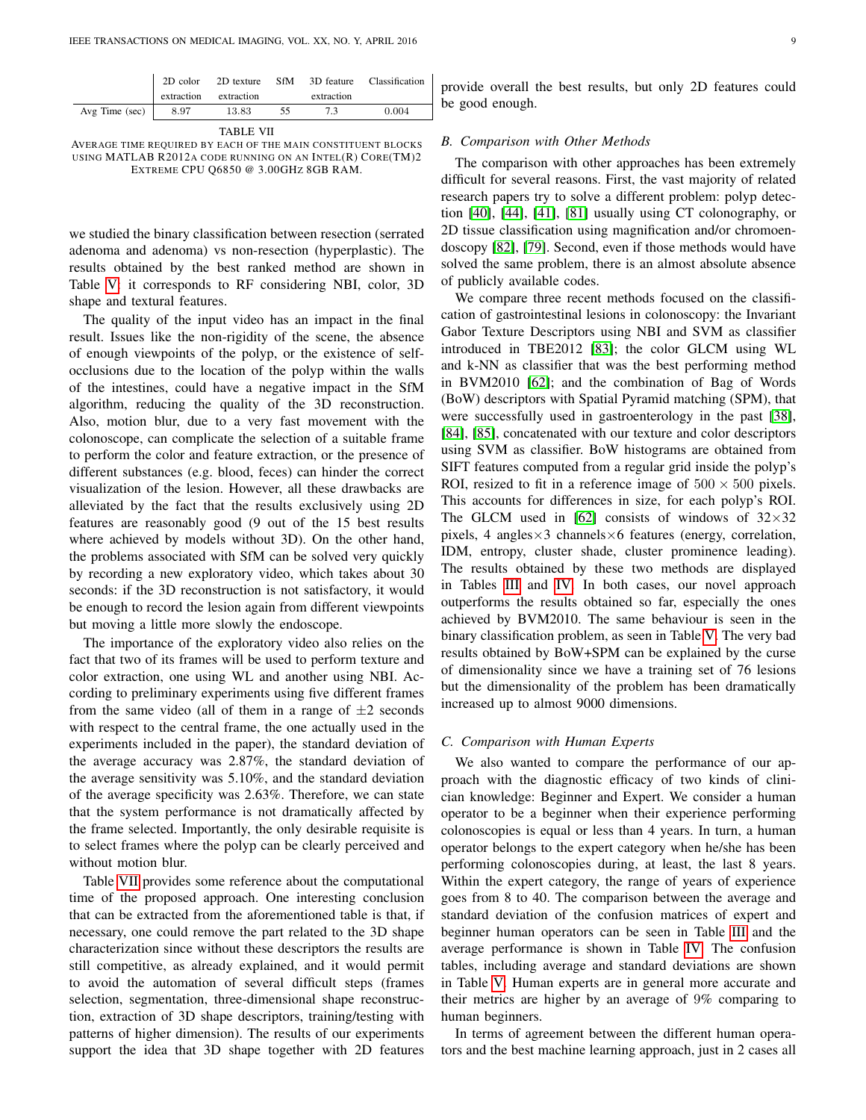|                             |                       |     |            | 2D color 2D texture SfM 3D feature Classification |
|-----------------------------|-----------------------|-----|------------|---------------------------------------------------|
|                             | extraction extraction |     | extraction |                                                   |
| Avg Time (sec)   8.97 13.83 |                       | -55 | 73         | 0.004                                             |
|                             |                       |     |            |                                                   |

<span id="page-8-0"></span>AVERAGE TIME REQUIRED BY EACH OF THE MAIN CONSTITUENT BLOCKS USING MATLAB R2012A CODE RUNNING ON AN INTEL(R) CORE(TM)2 EXTREME CPU Q6850 @ 3.00GHZ 8GB RAM.

we studied the binary classification between resection (serrated adenoma and adenoma) vs non-resection (hyperplastic). The results obtained by the best ranked method are shown in Table [V:](#page-7-3) it corresponds to RF considering NBI, color, 3D shape and textural features.

The quality of the input video has an impact in the final result. Issues like the non-rigidity of the scene, the absence of enough viewpoints of the polyp, or the existence of selfocclusions due to the location of the polyp within the walls of the intestines, could have a negative impact in the SfM algorithm, reducing the quality of the 3D reconstruction. Also, motion blur, due to a very fast movement with the colonoscope, can complicate the selection of a suitable frame to perform the color and feature extraction, or the presence of different substances (e.g. blood, feces) can hinder the correct visualization of the lesion. However, all these drawbacks are alleviated by the fact that the results exclusively using 2D features are reasonably good (9 out of the 15 best results where achieved by models without 3D). On the other hand, the problems associated with SfM can be solved very quickly by recording a new exploratory video, which takes about 30 seconds: if the 3D reconstruction is not satisfactory, it would be enough to record the lesion again from different viewpoints but moving a little more slowly the endoscope.

The importance of the exploratory video also relies on the fact that two of its frames will be used to perform texture and color extraction, one using WL and another using NBI. According to preliminary experiments using five different frames from the same video (all of them in a range of  $\pm 2$  seconds with respect to the central frame, the one actually used in the experiments included in the paper), the standard deviation of the average accuracy was 2.87%, the standard deviation of the average sensitivity was 5.10%, and the standard deviation of the average specificity was 2.63%. Therefore, we can state that the system performance is not dramatically affected by the frame selected. Importantly, the only desirable requisite is to select frames where the polyp can be clearly perceived and without motion blur.

Table [VII](#page-8-0) provides some reference about the computational time of the proposed approach. One interesting conclusion that can be extracted from the aforementioned table is that, if necessary, one could remove the part related to the 3D shape characterization since without these descriptors the results are still competitive, as already explained, and it would permit to avoid the automation of several difficult steps (frames selection, segmentation, three-dimensional shape reconstruction, extraction of 3D shape descriptors, training/testing with patterns of higher dimension). The results of our experiments support the idea that 3D shape together with 2D features

provide overall the best results, but only 2D features could be good enough.

## *B. Comparison with Other Methods*

The comparison with other approaches has been extremely difficult for several reasons. First, the vast majority of related research papers try to solve a different problem: polyp detection [\[40\]](#page-11-26), [\[44\]](#page-11-30), [\[41\]](#page-11-27), [\[81\]](#page-12-23) usually using CT colonography, or 2D tissue classification using magnification and/or chromoendoscopy [\[82\]](#page-12-24), [\[79\]](#page-12-21). Second, even if those methods would have solved the same problem, there is an almost absolute absence of publicly available codes.

We compare three recent methods focused on the classification of gastrointestinal lesions in colonoscopy: the Invariant Gabor Texture Descriptors using NBI and SVM as classifier introduced in TBE2012 [\[83\]](#page-12-25); the color GLCM using WL and k-NN as classifier that was the best performing method in BVM2010 [\[62\]](#page-12-4); and the combination of Bag of Words (BoW) descriptors with Spatial Pyramid matching (SPM), that were successfully used in gastroenterology in the past [\[38\]](#page-11-24), [\[84\]](#page-12-26), [\[85\]](#page-12-27), concatenated with our texture and color descriptors using SVM as classifier. BoW histograms are obtained from SIFT features computed from a regular grid inside the polyp's ROI, resized to fit in a reference image of  $500 \times 500$  pixels. This accounts for differences in size, for each polyp's ROI. The GLCM used in [\[62\]](#page-12-4) consists of windows of  $32\times32$ pixels, 4 angles $\times$ 3 channels $\times$ 6 features (energy, correlation, IDM, entropy, cluster shade, cluster prominence leading). The results obtained by these two methods are displayed in Tables [III](#page-7-1) and [IV.](#page-6-1) In both cases, our novel approach outperforms the results obtained so far, especially the ones achieved by BVM2010. The same behaviour is seen in the binary classification problem, as seen in Table [V.](#page-7-3) The very bad results obtained by BoW+SPM can be explained by the curse of dimensionality since we have a training set of 76 lesions but the dimensionality of the problem has been dramatically increased up to almost 9000 dimensions.

#### *C. Comparison with Human Experts*

We also wanted to compare the performance of our approach with the diagnostic efficacy of two kinds of clinician knowledge: Beginner and Expert. We consider a human operator to be a beginner when their experience performing colonoscopies is equal or less than 4 years. In turn, a human operator belongs to the expert category when he/she has been performing colonoscopies during, at least, the last 8 years. Within the expert category, the range of years of experience goes from 8 to 40. The comparison between the average and standard deviation of the confusion matrices of expert and beginner human operators can be seen in Table [III](#page-7-1) and the average performance is shown in Table [IV.](#page-6-1) The confusion tables, including average and standard deviations are shown in Table [V.](#page-7-3) Human experts are in general more accurate and their metrics are higher by an average of 9% comparing to human beginners.

In terms of agreement between the different human operators and the best machine learning approach, just in 2 cases all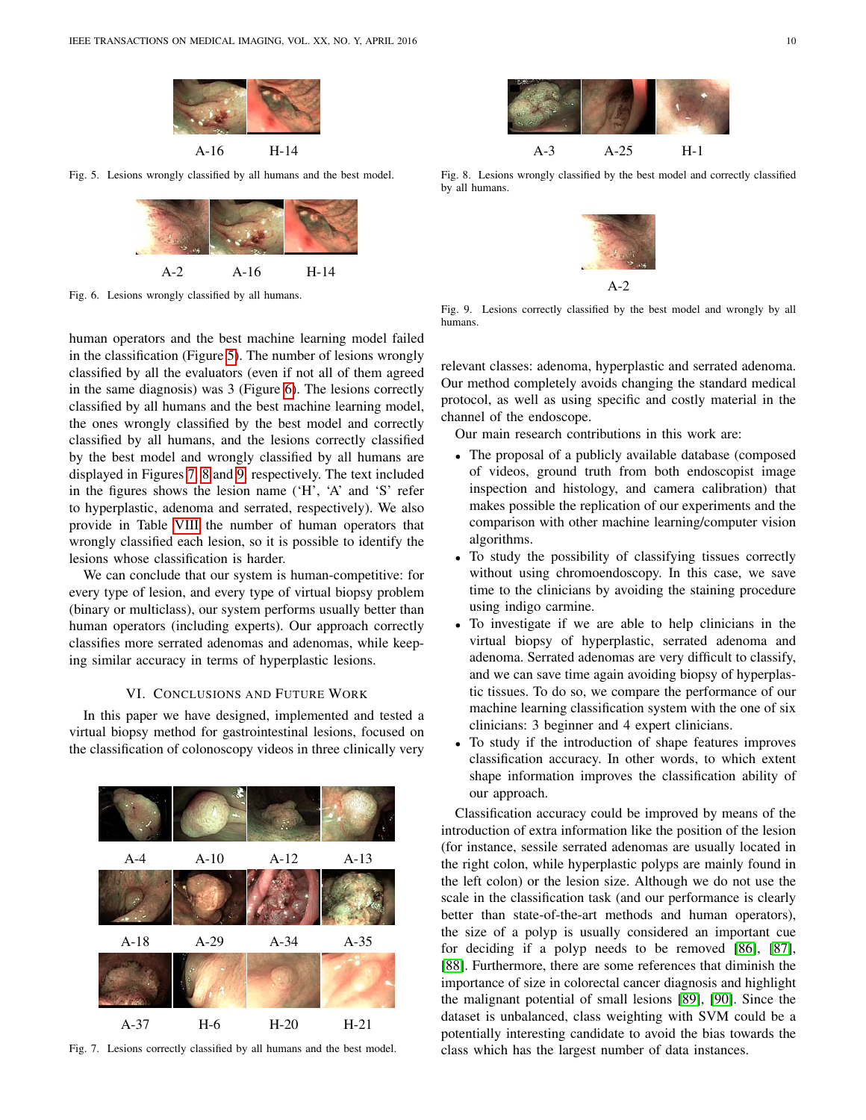

Fig. 5. Lesions wrongly classified by all humans and the best model.

<span id="page-9-1"></span>

<span id="page-9-2"></span>Fig. 6. Lesions wrongly classified by all humans.

human operators and the best machine learning model failed in the classification (Figure [5\)](#page-9-1). The number of lesions wrongly classified by all the evaluators (even if not all of them agreed in the same diagnosis) was 3 (Figure [6\)](#page-9-2). The lesions correctly classified by all humans and the best machine learning model, the ones wrongly classified by the best model and correctly classified by all humans, and the lesions correctly classified by the best model and wrongly classified by all humans are displayed in Figures [7,](#page-9-3) [8](#page-9-4) and [9,](#page-9-5) respectively. The text included in the figures shows the lesion name ('H', 'A' and 'S' refer to hyperplastic, adenoma and serrated, respectively). We also provide in Table [VIII](#page-10-13) the number of human operators that wrongly classified each lesion, so it is possible to identify the lesions whose classification is harder.

We can conclude that our system is human-competitive: for every type of lesion, and every type of virtual biopsy problem (binary or multiclass), our system performs usually better than human operators (including experts). Our approach correctly classifies more serrated adenomas and adenomas, while keeping similar accuracy in terms of hyperplastic lesions.

### VI. CONCLUSIONS AND FUTURE WORK

<span id="page-9-0"></span>In this paper we have designed, implemented and tested a virtual biopsy method for gastrointestinal lesions, focused on the classification of colonoscopy videos in three clinically very



<span id="page-9-3"></span>Fig. 7. Lesions correctly classified by all humans and the best model.



<span id="page-9-4"></span>Fig. 8. Lesions wrongly classified by the best model and correctly classified by all humans.



Fig. 9. Lesions correctly classified by the best model and wrongly by all humans.

<span id="page-9-5"></span>relevant classes: adenoma, hyperplastic and serrated adenoma. Our method completely avoids changing the standard medical protocol, as well as using specific and costly material in the channel of the endoscope.

Our main research contributions in this work are:

- The proposal of a publicly available database (composed of videos, ground truth from both endoscopist image inspection and histology, and camera calibration) that makes possible the replication of our experiments and the comparison with other machine learning/computer vision algorithms.
- To study the possibility of classifying tissues correctly without using chromoendoscopy. In this case, we save time to the clinicians by avoiding the staining procedure using indigo carmine.
- To investigate if we are able to help clinicians in the virtual biopsy of hyperplastic, serrated adenoma and adenoma. Serrated adenomas are very difficult to classify, and we can save time again avoiding biopsy of hyperplastic tissues. To do so, we compare the performance of our machine learning classification system with the one of six clinicians: 3 beginner and 4 expert clinicians.
- To study if the introduction of shape features improves classification accuracy. In other words, to which extent shape information improves the classification ability of our approach.

Classification accuracy could be improved by means of the introduction of extra information like the position of the lesion (for instance, sessile serrated adenomas are usually located in the right colon, while hyperplastic polyps are mainly found in the left colon) or the lesion size. Although we do not use the scale in the classification task (and our performance is clearly better than state-of-the-art methods and human operators), the size of a polyp is usually considered an important cue for deciding if a polyp needs to be removed [\[86\]](#page-12-28), [\[87\]](#page-12-29), [\[88\]](#page-12-30). Furthermore, there are some references that diminish the importance of size in colorectal cancer diagnosis and highlight the malignant potential of small lesions [\[89\]](#page-12-31), [\[90\]](#page-12-32). Since the dataset is unbalanced, class weighting with SVM could be a potentially interesting candidate to avoid the bias towards the class which has the largest number of data instances.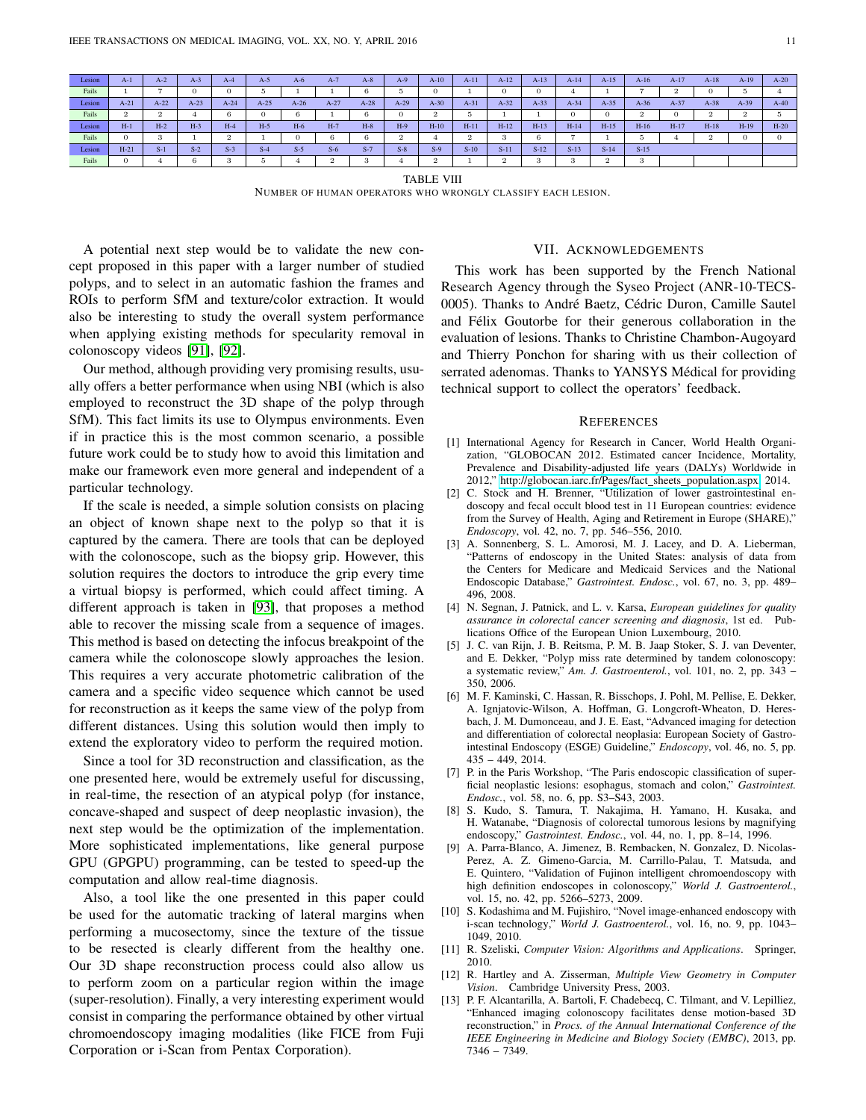| Lesion | $A-1$    | $A-2$  | $A-3$  | $A-4$         | $A-5$  | $A-6$    | $A-7$  | $A-8$  | $A-9$    | $A-10$ | $A-11$   | $A-12$   | $A-13$   | $A-14$ | $A-15$   | $A-16$ | $A-17$         | $A-18$ | $A-19$   | $A-20$ |
|--------|----------|--------|--------|---------------|--------|----------|--------|--------|----------|--------|----------|----------|----------|--------|----------|--------|----------------|--------|----------|--------|
| Fails  |          |        |        | $\theta$      |        |          |        | 6      |          |        |          |          | $\Omega$ |        |          |        | $\Omega$<br>▵  | 0      | -5       |        |
| Lesion | $A-21$   | $A-22$ | $A-23$ | $A-24$        | $A-25$ | $A-26$   | $A-27$ | $A-28$ | $A-29$   | $A-30$ | $A-31$   | $A-32$   | $A-33$   | $A-34$ | $A-35$   | $A-36$ | $A-37$         | $A-38$ | $A-39$   | $A-40$ |
| Fails  | $\Omega$ |        |        | 6             |        |          |        | 6      | $\Omega$ |        |          |          |          |        | $\Omega$ | $\sim$ | $\overline{0}$ | $\sim$ | $\Omega$ |        |
| Lesion | $H-1$    | $H-2$  | $H-3$  | $H-4$         | $H-5$  | $H-6$    | $H-7$  | $H-8$  | $H-9$    | $H-10$ | $H-11$   | $H-12$   | $H-13$   | $H-14$ | $H-15$   | $H-16$ | $H-17$         | $H-18$ | $H-19$   | $H-20$ |
| Fails  | $\Omega$ |        |        | $\Omega$<br>▵ |        | $\Omega$ |        | 6      | $\Omega$ |        | $\Omega$ | 3        | 6        |        |          |        |                | $\sim$ | $\Omega$ |        |
| Lesion | $H-21$   | $S-1$  | $S-2$  | $S-3$         | $S-4$  | $S-5$    | $S-6$  | $S-7$  | $S-8$    | $S-9$  | $S-10$   | $S-11$   | $S-12$   | $S-13$ | $S-14$   | $S-15$ |                |        |          |        |
| Fails  | $\Omega$ |        |        | $\sim$<br>-3  |        |          |        | 3      |          |        |          | $\Omega$ | 3        | $\sim$ | $\Omega$ | $\sim$ |                |        |          |        |

TABLE VIII

NUMBER OF HUMAN OPERATORS WHO WRONGLY CLASSIFY EACH LESION.

<span id="page-10-13"></span>A potential next step would be to validate the new concept proposed in this paper with a larger number of studied polyps, and to select in an automatic fashion the frames and ROIs to perform SfM and texture/color extraction. It would also be interesting to study the overall system performance when applying existing methods for specularity removal in colonoscopy videos [\[91\]](#page-12-33), [\[92\]](#page-12-34).

Our method, although providing very promising results, usually offers a better performance when using NBI (which is also employed to reconstruct the 3D shape of the polyp through SfM). This fact limits its use to Olympus environments. Even if in practice this is the most common scenario, a possible future work could be to study how to avoid this limitation and make our framework even more general and independent of a particular technology.

If the scale is needed, a simple solution consists on placing an object of known shape next to the polyp so that it is captured by the camera. There are tools that can be deployed with the colonoscope, such as the biopsy grip. However, this solution requires the doctors to introduce the grip every time a virtual biopsy is performed, which could affect timing. A different approach is taken in [\[93\]](#page-12-35), that proposes a method able to recover the missing scale from a sequence of images. This method is based on detecting the infocus breakpoint of the camera while the colonoscope slowly approaches the lesion. This requires a very accurate photometric calibration of the camera and a specific video sequence which cannot be used for reconstruction as it keeps the same view of the polyp from different distances. Using this solution would then imply to extend the exploratory video to perform the required motion.

Since a tool for 3D reconstruction and classification, as the one presented here, would be extremely useful for discussing, in real-time, the resection of an atypical polyp (for instance, concave-shaped and suspect of deep neoplastic invasion), the next step would be the optimization of the implementation. More sophisticated implementations, like general purpose GPU (GPGPU) programming, can be tested to speed-up the computation and allow real-time diagnosis.

Also, a tool like the one presented in this paper could be used for the automatic tracking of lateral margins when performing a mucosectomy, since the texture of the tissue to be resected is clearly different from the healthy one. Our 3D shape reconstruction process could also allow us to perform zoom on a particular region within the image (super-resolution). Finally, a very interesting experiment would consist in comparing the performance obtained by other virtual chromoendoscopy imaging modalities (like FICE from Fuji Corporation or i-Scan from Pentax Corporation).

#### VII. ACKNOWLEDGEMENTS

This work has been supported by the French National Research Agency through the Syseo Project (ANR-10-TECS-0005). Thanks to André Baetz, Cédric Duron, Camille Sautel and Félix Goutorbe for their generous collaboration in the evaluation of lesions. Thanks to Christine Chambon-Augoyard and Thierry Ponchon for sharing with us their collection of serrated adenomas. Thanks to YANSYS Médical for providing technical support to collect the operators' feedback.

## **REFERENCES**

- <span id="page-10-0"></span>[1] International Agency for Research in Cancer, World Health Organization, "GLOBOCAN 2012. Estimated cancer Incidence, Mortality, Prevalence and Disability-adjusted life years (DALYs) Worldwide in 2012," [http://globocan.iarc.fr/Pages/fact](http://globocan.iarc.fr/Pages/fact_sheets_population.aspx)\_sheets\_population.aspx, 2014.
- <span id="page-10-1"></span>[2] C. Stock and H. Brenner, "Utilization of lower gastrointestinal endoscopy and fecal occult blood test in 11 European countries: evidence from the Survey of Health, Aging and Retirement in Europe (SHARE)," *Endoscopy*, vol. 42, no. 7, pp. 546–556, 2010.
- <span id="page-10-2"></span>[3] A. Sonnenberg, S. L. Amorosi, M. J. Lacey, and D. A. Lieberman, "Patterns of endoscopy in the United States: analysis of data from the Centers for Medicare and Medicaid Services and the National Endoscopic Database," *Gastrointest. Endosc.*, vol. 67, no. 3, pp. 489– 496, 2008.
- <span id="page-10-3"></span>[4] N. Segnan, J. Patnick, and L. v. Karsa, *European guidelines for quality assurance in colorectal cancer screening and diagnosis*, 1st ed. Publications Office of the European Union Luxembourg, 2010.
- <span id="page-10-4"></span>[5] J. C. van Rijn, J. B. Reitsma, P. M. B. Jaap Stoker, S. J. van Deventer, and E. Dekker, "Polyp miss rate determined by tandem colonoscopy: a systematic review," *Am. J. Gastroenterol.*, vol. 101, no. 2, pp. 343 – 350, 2006.
- <span id="page-10-5"></span>[6] M. F. Kaminski, C. Hassan, R. Bisschops, J. Pohl, M. Pellise, E. Dekker, A. Ignjatovic-Wilson, A. Hoffman, G. Longcroft-Wheaton, D. Heresbach, J. M. Dumonceau, and J. E. East, "Advanced imaging for detection and differentiation of colorectal neoplasia: European Society of Gastrointestinal Endoscopy (ESGE) Guideline," *Endoscopy*, vol. 46, no. 5, pp. 435 – 449, 2014.
- <span id="page-10-6"></span>[7] P. in the Paris Workshop, "The Paris endoscopic classification of superficial neoplastic lesions: esophagus, stomach and colon," *Gastrointest. Endosc.*, vol. 58, no. 6, pp. S3–S43, 2003.
- <span id="page-10-7"></span>[8] S. Kudo, S. Tamura, T. Nakajima, H. Yamano, H. Kusaka, and H. Watanabe, "Diagnosis of colorectal tumorous lesions by magnifying endoscopy," *Gastrointest. Endosc.*, vol. 44, no. 1, pp. 8–14, 1996.
- <span id="page-10-8"></span>[9] A. Parra-Blanco, A. Jimenez, B. Rembacken, N. Gonzalez, D. Nicolas-Perez, A. Z. Gimeno-Garcia, M. Carrillo-Palau, T. Matsuda, and E. Quintero, "Validation of Fujinon intelligent chromoendoscopy with high definition endoscopes in colonoscopy," *World J. Gastroenterol.*, vol. 15, no. 42, pp. 5266–5273, 2009.
- <span id="page-10-9"></span>[10] S. Kodashima and M. Fujishiro, "Novel image-enhanced endoscopy with i-scan technology," *World J. Gastroenterol.*, vol. 16, no. 9, pp. 1043– 1049, 2010.
- <span id="page-10-10"></span>[11] R. Szeliski, *Computer Vision: Algorithms and Applications*. Springer, 2010.
- <span id="page-10-11"></span>[12] R. Hartley and A. Zisserman, *Multiple View Geometry in Computer Vision*. Cambridge University Press, 2003.
- <span id="page-10-12"></span>[13] P. F. Alcantarilla, A. Bartoli, F. Chadebecq, C. Tilmant, and V. Lepilliez, "Enhanced imaging colonoscopy facilitates dense motion-based 3D reconstruction," in *Procs. of the Annual International Conference of the IEEE Engineering in Medicine and Biology Society (EMBC)*, 2013, pp. 7346 – 7349.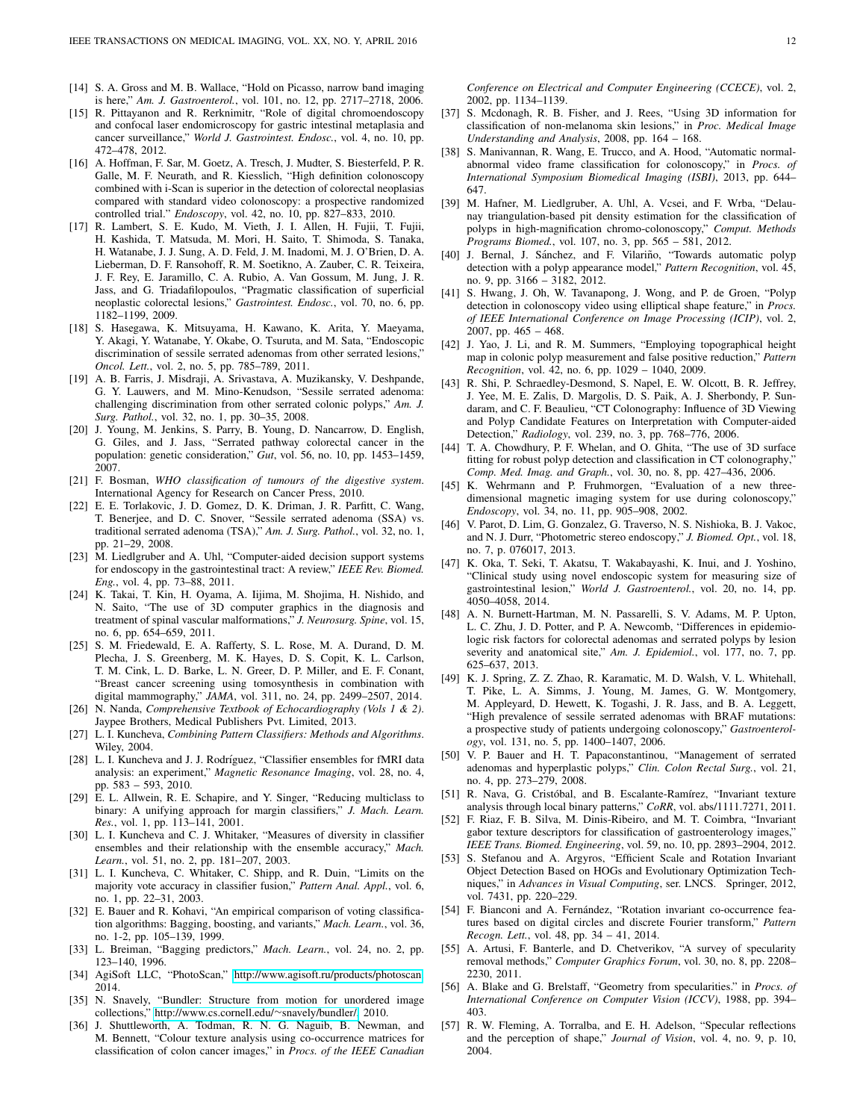- <span id="page-11-0"></span>[14] S. A. Gross and M. B. Wallace, "Hold on Picasso, narrow band imaging is here," *Am. J. Gastroenterol.*, vol. 101, no. 12, pp. 2717–2718, 2006.
- <span id="page-11-1"></span>[15] R. Pittayanon and R. Rerknimitr, "Role of digital chromoendoscopy and confocal laser endomicroscopy for gastric intestinal metaplasia and cancer surveillance," *World J. Gastrointest. Endosc.*, vol. 4, no. 10, pp. 472–478, 2012.
- <span id="page-11-2"></span>[16] A. Hoffman, F. Sar, M. Goetz, A. Tresch, J. Mudter, S. Biesterfeld, P. R. Galle, M. F. Neurath, and R. Kiesslich, "High definition colonoscopy combined with i-Scan is superior in the detection of colorectal neoplasias compared with standard video colonoscopy: a prospective randomized controlled trial." *Endoscopy*, vol. 42, no. 10, pp. 827–833, 2010.
- <span id="page-11-3"></span>[17] R. Lambert, S. E. Kudo, M. Vieth, J. I. Allen, H. Fujii, T. Fujii, H. Kashida, T. Matsuda, M. Mori, H. Saito, T. Shimoda, S. Tanaka, H. Watanabe, J. J. Sung, A. D. Feld, J. M. Inadomi, M. J. O'Brien, D. A. Lieberman, D. F. Ransohoff, R. M. Soetikno, A. Zauber, C. R. Teixeira, J. F. Rey, E. Jaramillo, C. A. Rubio, A. Van Gossum, M. Jung, J. R. Jass, and G. Triadafilopoulos, "Pragmatic classification of superficial neoplastic colorectal lesions," *Gastrointest. Endosc.*, vol. 70, no. 6, pp. 1182–1199, 2009.
- <span id="page-11-4"></span>[18] S. Hasegawa, K. Mitsuyama, H. Kawano, K. Arita, Y. Maeyama, Y. Akagi, Y. Watanabe, Y. Okabe, O. Tsuruta, and M. Sata, "Endoscopic discrimination of sessile serrated adenomas from other serrated lesions," *Oncol. Lett.*, vol. 2, no. 5, pp. 785–789, 2011.
- <span id="page-11-5"></span>[19] A. B. Farris, J. Misdraji, A. Srivastava, A. Muzikansky, V. Deshpande, G. Y. Lauwers, and M. Mino-Kenudson, "Sessile serrated adenoma: challenging discrimination from other serrated colonic polyps," *Am. J. Surg. Pathol.*, vol. 32, no. 1, pp. 30–35, 2008.
- <span id="page-11-6"></span>[20] J. Young, M. Jenkins, S. Parry, B. Young, D. Nancarrow, D. English, G. Giles, and J. Jass, "Serrated pathway colorectal cancer in the population: genetic consideration," *Gut*, vol. 56, no. 10, pp. 1453–1459, 2007.
- <span id="page-11-7"></span>[21] F. Bosman, *WHO classification of tumours of the digestive system*. International Agency for Research on Cancer Press, 2010.
- <span id="page-11-8"></span>[22] E. E. Torlakovic, J. D. Gomez, D. K. Driman, J. R. Parfitt, C. Wang, T. Benerjee, and D. C. Snover, "Sessile serrated adenoma (SSA) vs. traditional serrated adenoma (TSA)," *Am. J. Surg. Pathol.*, vol. 32, no. 1, pp. 21–29, 2008.
- <span id="page-11-9"></span>[23] M. Liedlgruber and A. Uhl, "Computer-aided decision support systems for endoscopy in the gastrointestinal tract: A review," *IEEE Rev. Biomed. Eng.*, vol. 4, pp. 73–88, 2011.
- <span id="page-11-10"></span>[24] K. Takai, T. Kin, H. Oyama, A. Iijima, M. Shojima, H. Nishido, and N. Saito, "The use of 3D computer graphics in the diagnosis and treatment of spinal vascular malformations," *J. Neurosurg. Spine*, vol. 15, no. 6, pp. 654–659, 2011.
- <span id="page-11-11"></span>[25] S. M. Friedewald, E. A. Rafferty, S. L. Rose, M. A. Durand, D. M. Plecha, J. S. Greenberg, M. K. Hayes, D. S. Copit, K. L. Carlson, T. M. Cink, L. D. Barke, L. N. Greer, D. P. Miller, and E. F. Conant, "Breast cancer screening using tomosynthesis in combination with digital mammography," *JAMA*, vol. 311, no. 24, pp. 2499–2507, 2014.
- <span id="page-11-12"></span>[26] N. Nanda, *Comprehensive Textbook of Echocardiography (Vols 1 & 2)*. Jaypee Brothers, Medical Publishers Pvt. Limited, 2013.
- <span id="page-11-13"></span>[27] L. I. Kuncheva, *Combining Pattern Classifiers: Methods and Algorithms*. Wiley, 2004.
- <span id="page-11-14"></span>[28] L. I. Kuncheva and J. J. Rodríguez, "Classifier ensembles for fMRI data analysis: an experiment," *Magnetic Resonance Imaging*, vol. 28, no. 4, pp. 583 – 593, 2010.
- <span id="page-11-15"></span>[29] E. L. Allwein, R. E. Schapire, and Y. Singer, "Reducing multiclass to binary: A unifying approach for margin classifiers," *J. Mach. Learn. Res.*, vol. 1, pp. 113–141, 2001.
- <span id="page-11-16"></span>[30] L. I. Kuncheva and C. J. Whitaker, "Measures of diversity in classifier ensembles and their relationship with the ensemble accuracy," *Mach. Learn.*, vol. 51, no. 2, pp. 181–207, 2003.
- <span id="page-11-17"></span>[31] L. I. Kuncheva, C. Whitaker, C. Shipp, and R. Duin, "Limits on the majority vote accuracy in classifier fusion," *Pattern Anal. Appl.*, vol. 6, no. 1, pp. 22–31, 2003.
- <span id="page-11-18"></span>[32] E. Bauer and R. Kohavi, "An empirical comparison of voting classification algorithms: Bagging, boosting, and variants," *Mach. Learn.*, vol. 36, no. 1-2, pp. 105–139, 1999.
- <span id="page-11-19"></span>[33] L. Breiman, "Bagging predictors," *Mach. Learn.*, vol. 24, no. 2, pp. 123–140, 1996.
- <span id="page-11-20"></span>[34] AgiSoft LLC, "PhotoScan," [http://www.agisoft.ru/products/photoscan,](http://www.agisoft.ru/products/photoscan) 2014.
- <span id="page-11-21"></span>[35] N. Snavely, "Bundler: Structure from motion for unordered image collections," [http://www.cs.cornell.edu/](http://www.cs.cornell.edu/~snavely/bundler/)∼snavely/bundler/, 2010.
- <span id="page-11-22"></span>[36] J. Shuttleworth, A. Todman, R. N. G. Naguib, B. Newman, and M. Bennett, "Colour texture analysis using co-occurrence matrices for classification of colon cancer images," in *Procs. of the IEEE Canadian*

*Conference on Electrical and Computer Engineering (CCECE)*, vol. 2, 2002, pp. 1134–1139.

- <span id="page-11-23"></span>[37] S. Mcdonagh, R. B. Fisher, and J. Rees, "Using 3D information for classification of non-melanoma skin lesions," in *Proc. Medical Image Understanding and Analysis*, 2008, pp. 164 – 168.
- <span id="page-11-24"></span>[38] S. Manivannan, R. Wang, E. Trucco, and A. Hood, "Automatic normalabnormal video frame classification for colonoscopy," in *Procs. of International Symposium Biomedical Imaging (ISBI)*, 2013, pp. 644– 647.
- <span id="page-11-25"></span>[39] M. Hafner, M. Liedlgruber, A. Uhl, A. Vcsei, and F. Wrba, "Delaunay triangulation-based pit density estimation for the classification of polyps in high-magnification chromo-colonoscopy," *Comput. Methods Programs Biomed.*, vol. 107, no. 3, pp. 565 – 581, 2012.
- <span id="page-11-26"></span>[40] J. Bernal, J. Sánchez, and F. Vilariño, "Towards automatic polyp detection with a polyp appearance model," *Pattern Recognition*, vol. 45, no. 9, pp. 3166 – 3182, 2012.
- <span id="page-11-27"></span>[41] S. Hwang, J. Oh, W. Tavanapong, J. Wong, and P. de Groen, "Polyp detection in colonoscopy video using elliptical shape feature," in *Procs. of IEEE International Conference on Image Processing (ICIP)*, vol. 2, 2007, pp. 465 – 468.
- <span id="page-11-28"></span>[42] J. Yao, J. Li, and R. M. Summers, "Employing topographical height map in colonic polyp measurement and false positive reduction," *Pattern Recognition*, vol. 42, no. 6, pp. 1029 – 1040, 2009.
- <span id="page-11-29"></span>[43] R. Shi, P. Schraedley-Desmond, S. Napel, E. W. Olcott, B. R. Jeffrey, J. Yee, M. E. Zalis, D. Margolis, D. S. Paik, A. J. Sherbondy, P. Sundaram, and C. F. Beaulieu, "CT Colonography: Influence of 3D Viewing and Polyp Candidate Features on Interpretation with Computer-aided Detection," *Radiology*, vol. 239, no. 3, pp. 768–776, 2006.
- <span id="page-11-30"></span>[44] T. A. Chowdhury, P. F. Whelan, and O. Ghita, "The use of 3D surface fitting for robust polyp detection and classification in CT colonography," *Comp. Med. Imag. and Graph.*, vol. 30, no. 8, pp. 427–436, 2006.
- <span id="page-11-31"></span>[45] K. Wehrmann and P. Fruhmorgen, "Evaluation of a new threedimensional magnetic imaging system for use during colonoscopy," *Endoscopy*, vol. 34, no. 11, pp. 905–908, 2002.
- <span id="page-11-32"></span>[46] V. Parot, D. Lim, G. Gonzalez, G. Traverso, N. S. Nishioka, B. J. Vakoc, and N. J. Durr, "Photometric stereo endoscopy," *J. Biomed. Opt.*, vol. 18, no. 7, p. 076017, 2013.
- <span id="page-11-33"></span>[47] K. Oka, T. Seki, T. Akatsu, T. Wakabayashi, K. Inui, and J. Yoshino, "Clinical study using novel endoscopic system for measuring size of gastrointestinal lesion," *World J. Gastroenterol.*, vol. 20, no. 14, pp. 4050–4058, 2014.
- <span id="page-11-34"></span>[48] A. N. Burnett-Hartman, M. N. Passarelli, S. V. Adams, M. P. Upton, L. C. Zhu, J. D. Potter, and P. A. Newcomb, "Differences in epidemiologic risk factors for colorectal adenomas and serrated polyps by lesion severity and anatomical site," *Am. J. Epidemiol.*, vol. 177, no. 7, pp. 625–637, 2013.
- <span id="page-11-35"></span>[49] K. J. Spring, Z. Z. Zhao, R. Karamatic, M. D. Walsh, V. L. Whitehall, T. Pike, L. A. Simms, J. Young, M. James, G. W. Montgomery, M. Appleyard, D. Hewett, K. Togashi, J. R. Jass, and B. A. Leggett, "High prevalence of sessile serrated adenomas with BRAF mutations: a prospective study of patients undergoing colonoscopy," *Gastroenterology*, vol. 131, no. 5, pp. 1400–1407, 2006.
- <span id="page-11-36"></span>[50] V. P. Bauer and H. T. Papaconstantinou, "Management of serrated adenomas and hyperplastic polyps," *Clin. Colon Rectal Surg.*, vol. 21, no. 4, pp. 273–279, 2008.
- <span id="page-11-37"></span>[51] R. Nava, G. Cristóbal, and B. Escalante-Ramírez, "Invariant texture analysis through local binary patterns," *CoRR*, vol. abs/1111.7271, 2011.
- <span id="page-11-38"></span>[52] F. Riaz, F. B. Silva, M. Dinis-Ribeiro, and M. T. Coimbra, "Invariant gabor texture descriptors for classification of gastroenterology images," *IEEE Trans. Biomed. Engineering*, vol. 59, no. 10, pp. 2893–2904, 2012.
- <span id="page-11-39"></span>[53] S. Stefanou and A. Argyros, "Efficient Scale and Rotation Invariant Object Detection Based on HOGs and Evolutionary Optimization Techniques," in *Advances in Visual Computing*, ser. LNCS. Springer, 2012, vol. 7431, pp. 220–229.
- <span id="page-11-40"></span>[54] F. Bianconi and A. Fernández, "Rotation invariant co-occurrence features based on digital circles and discrete Fourier transform," *Pattern Recogn. Lett.*, vol. 48, pp. 34 – 41, 2014.
- <span id="page-11-41"></span>[55] A. Artusi, F. Banterle, and D. Chetverikov, "A survey of specularity removal methods," *Computer Graphics Forum*, vol. 30, no. 8, pp. 2208– 2230, 2011.
- <span id="page-11-42"></span>[56] A. Blake and G. Brelstaff, "Geometry from specularities." in *Procs. of International Conference on Computer Vision (ICCV)*, 1988, pp. 394– 403.
- <span id="page-11-43"></span>[57] R. W. Fleming, A. Torralba, and E. H. Adelson, "Specular reflections and the perception of shape," *Journal of Vision*, vol. 4, no. 9, p. 10, 2004.